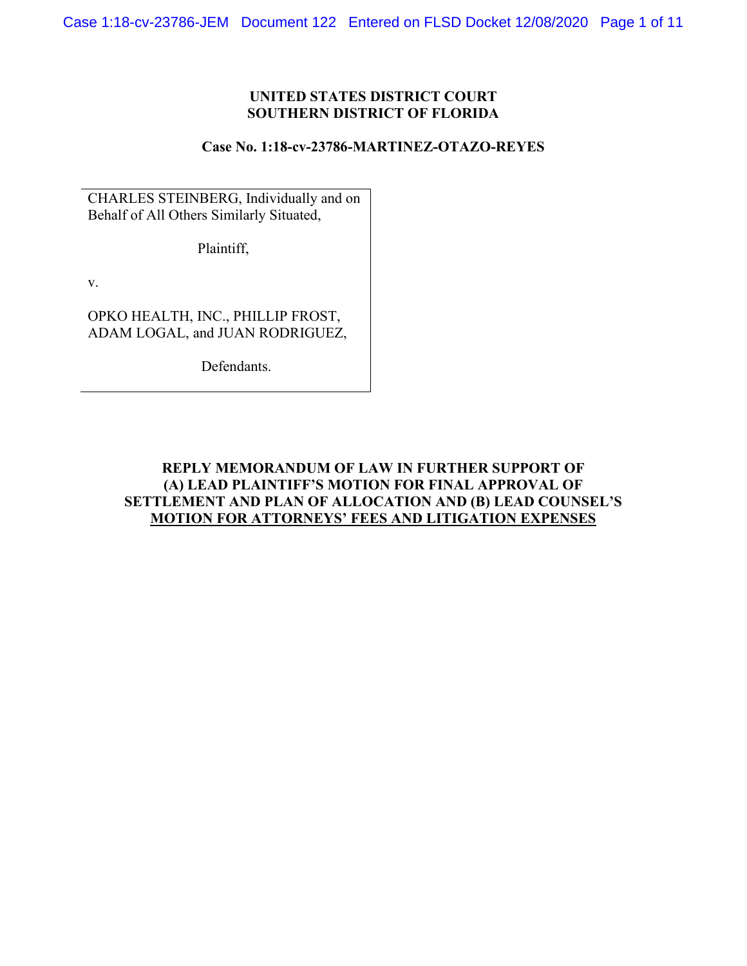## **UNITED STATES DISTRICT COURT SOUTHERN DISTRICT OF FLORIDA**

#### **Case No. 1:18-cv-23786-MARTINEZ-OTAZO-REYES**

CHARLES STEINBERG, Individually and on Behalf of All Others Similarly Situated,

Plaintiff,

v.

OPKO HEALTH, INC., PHILLIP FROST, ADAM LOGAL, and JUAN RODRIGUEZ,

Defendants.

# **REPLY MEMORANDUM OF LAW IN FURTHER SUPPORT OF (A) LEAD PLAINTIFF'S MOTION FOR FINAL APPROVAL OF SETTLEMENT AND PLAN OF ALLOCATION AND (B) LEAD COUNSEL'S MOTION FOR ATTORNEYS' FEES AND LITIGATION EXPENSES**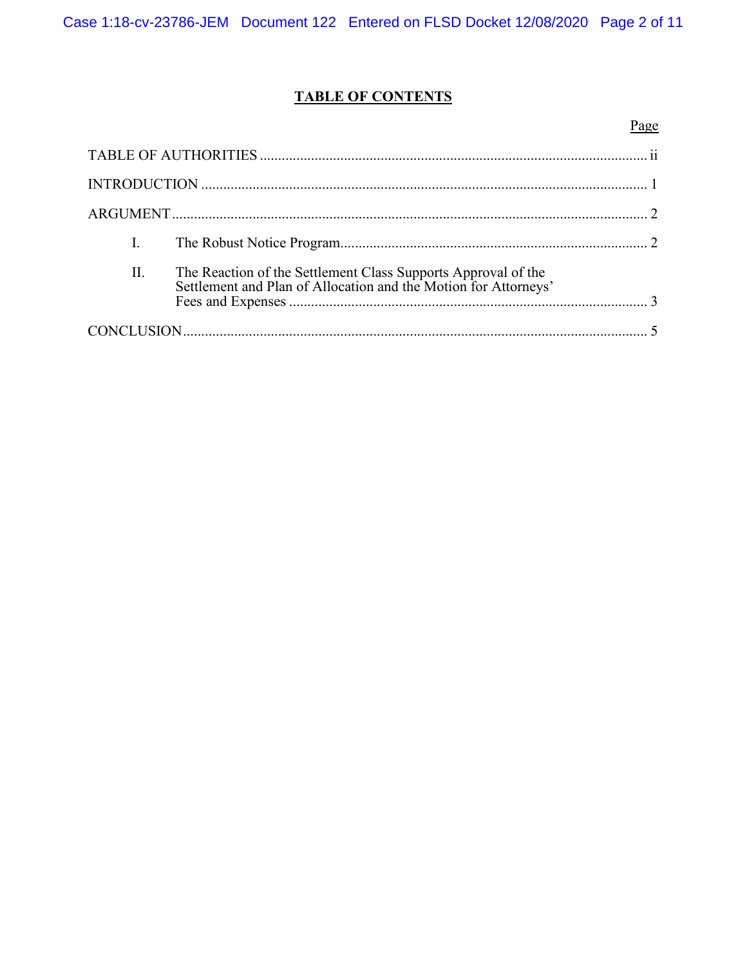# **TABLE OF CONTENTS**

|     |                                                                                                                               | Page |
|-----|-------------------------------------------------------------------------------------------------------------------------------|------|
|     |                                                                                                                               |      |
|     |                                                                                                                               |      |
|     |                                                                                                                               |      |
| I.  |                                                                                                                               |      |
| II. | The Reaction of the Settlement Class Supports Approval of the Settlement and Plan of Allocation and the Motion for Attorneys' |      |
|     |                                                                                                                               |      |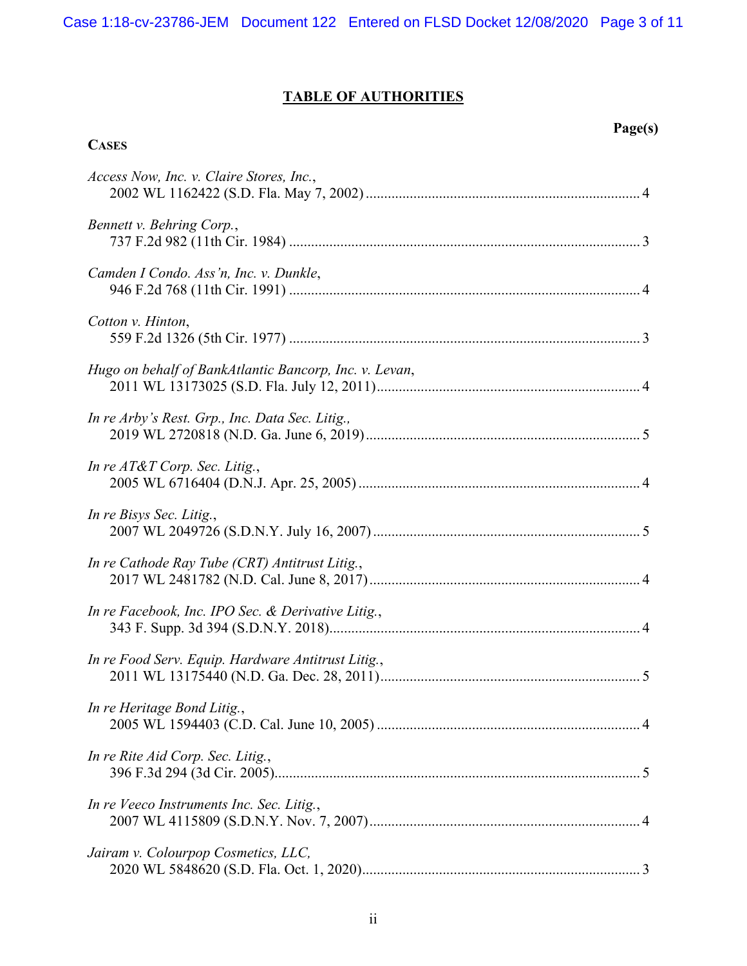# **TABLE OF AUTHORITIES**

**CASES**

# **Page(s)**

| Access Now, Inc. v. Claire Stores, Inc.,               |
|--------------------------------------------------------|
| Bennett v. Behring Corp.,                              |
| Camden I Condo. Ass'n, Inc. v. Dunkle,                 |
| Cotton v. Hinton,                                      |
| Hugo on behalf of BankAtlantic Bancorp, Inc. v. Levan, |
| In re Arby's Rest. Grp., Inc. Data Sec. Litig.,        |
| In re $AT&T$ Corp. Sec. Litig.,                        |
| In re Bisys Sec. Litig.,                               |
| In re Cathode Ray Tube (CRT) Antitrust Litig.,         |
| In re Facebook, Inc. IPO Sec. & Derivative Litig.,     |
| In re Food Serv. Equip. Hardware Antitrust Litig.,     |
| In re Heritage Bond Litig.,                            |
| In re Rite Aid Corp. Sec. Litig.,                      |
| In re Veeco Instruments Inc. Sec. Litig.,              |
| Jairam v. Colourpop Cosmetics, LLC,                    |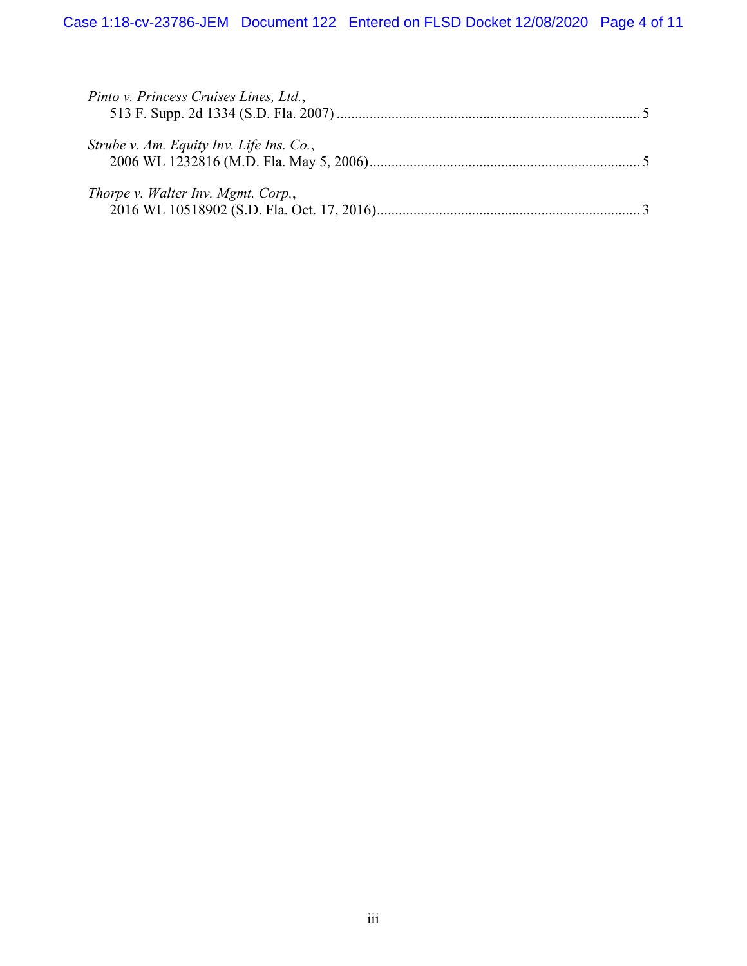| Pinto v. Princess Cruises Lines, Ltd.,   |  |
|------------------------------------------|--|
| Strube v. Am. Equity Inv. Life Ins. Co., |  |
| Thorpe v. Walter Inv. Mgmt. Corp.,       |  |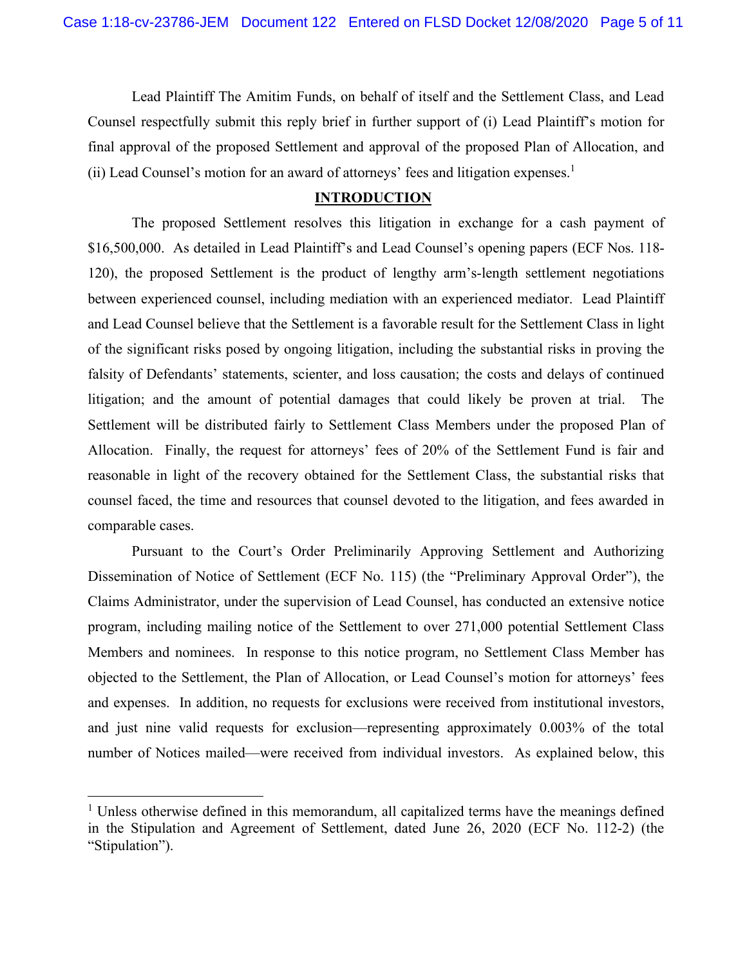Lead Plaintiff The Amitim Funds, on behalf of itself and the Settlement Class, and Lead Counsel respectfully submit this reply brief in further support of (i) Lead Plaintiff's motion for final approval of the proposed Settlement and approval of the proposed Plan of Allocation, and (ii) Lead Counsel's motion for an award of attorneys' fees and litigation expenses.<sup>1</sup>

#### **INTRODUCTION**

The proposed Settlement resolves this litigation in exchange for a cash payment of \$16,500,000. As detailed in Lead Plaintiff's and Lead Counsel's opening papers (ECF Nos. 118-120), the proposed Settlement is the product of lengthy arm's-length settlement negotiations between experienced counsel, including mediation with an experienced mediator. Lead Plaintiff and Lead Counsel believe that the Settlement is a favorable result for the Settlement Class in light of the significant risks posed by ongoing litigation, including the substantial risks in proving the falsity of Defendants' statements, scienter, and loss causation; the costs and delays of continued litigation; and the amount of potential damages that could likely be proven at trial. The Settlement will be distributed fairly to Settlement Class Members under the proposed Plan of Allocation. Finally, the request for attorneys' fees of 20% of the Settlement Fund is fair and reasonable in light of the recovery obtained for the Settlement Class, the substantial risks that counsel faced, the time and resources that counsel devoted to the litigation, and fees awarded in comparable cases.

Pursuant to the Court's Order Preliminarily Approving Settlement and Authorizing Dissemination of Notice of Settlement (ECF No. 115) (the "Preliminary Approval Order"), the Claims Administrator, under the supervision of Lead Counsel, has conducted an extensive notice program, including mailing notice of the Settlement to over 271,000 potential Settlement Class Members and nominees. In response to this notice program, no Settlement Class Member has objected to the Settlement, the Plan of Allocation, or Lead Counsel's motion for attorneys' fees and expenses. In addition, no requests for exclusions were received from institutional investors, and just nine valid requests for exclusion—representing approximately 0.003% of the total number of Notices mailed—were received from individual investors. As explained below, this

<sup>&</sup>lt;sup>1</sup> Unless otherwise defined in this memorandum, all capitalized terms have the meanings defined in the Stipulation and Agreement of Settlement, dated June 26, 2020 (ECF No. 112-2) (the "Stipulation").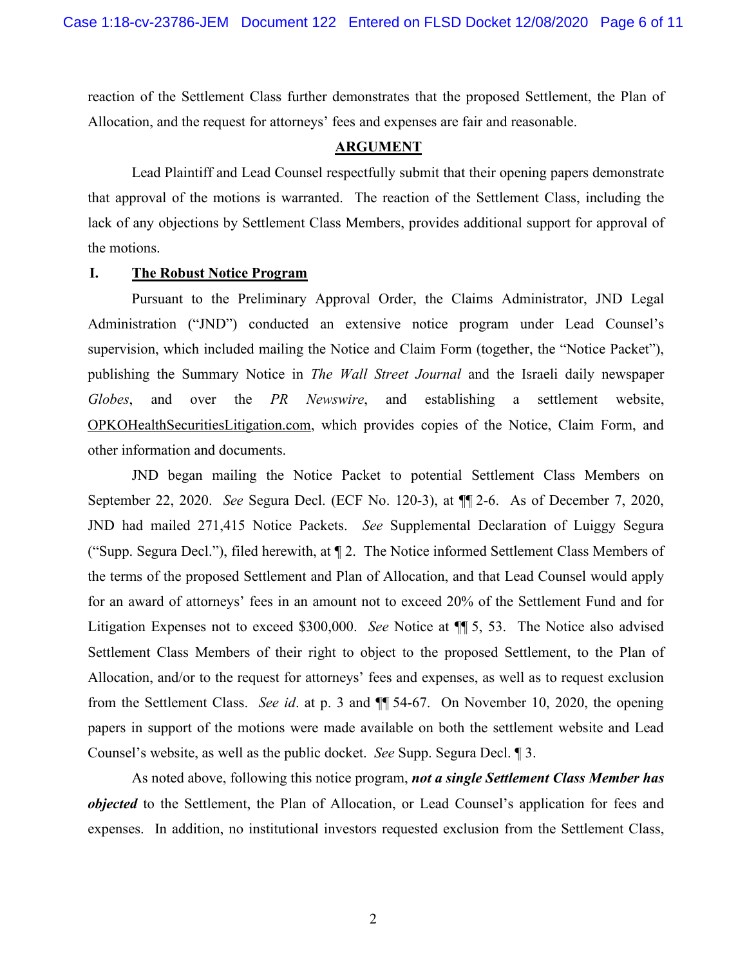reaction of the Settlement Class further demonstrates that the proposed Settlement, the Plan of Allocation, and the request for attorneys' fees and expenses are fair and reasonable.

#### **ARGUMENT**

Lead Plaintiff and Lead Counsel respectfully submit that their opening papers demonstrate that approval of the motions is warranted. The reaction of the Settlement Class, including the lack of any objections by Settlement Class Members, provides additional support for approval of the motions.

#### **I. The Robust Notice Program**

Pursuant to the Preliminary Approval Order, the Claims Administrator, JND Legal Administration ("JND") conducted an extensive notice program under Lead Counsel's supervision, which included mailing the Notice and Claim Form (together, the "Notice Packet"), publishing the Summary Notice in *The Wall Street Journal* and the Israeli daily newspaper *Globes*, and over the *PR Newswire*, and establishing a settlement website, OPKOHealthSecuritiesLitigation.com, which provides copies of the Notice, Claim Form, and other information and documents.

JND began mailing the Notice Packet to potential Settlement Class Members on September 22, 2020. *See* Segura Decl. (ECF No. 120-3), at ¶¶ 2-6. As of December 7, 2020, JND had mailed 271,415 Notice Packets. *See* Supplemental Declaration of Luiggy Segura ("Supp. Segura Decl."), filed herewith, at ¶ 2. The Notice informed Settlement Class Members of the terms of the proposed Settlement and Plan of Allocation, and that Lead Counsel would apply for an award of attorneys' fees in an amount not to exceed 20% of the Settlement Fund and for Litigation Expenses not to exceed \$300,000. *See* Notice at ¶¶ 5, 53. The Notice also advised Settlement Class Members of their right to object to the proposed Settlement, to the Plan of Allocation, and/or to the request for attorneys' fees and expenses, as well as to request exclusion from the Settlement Class. *See id*. at p. 3 and ¶¶ 54-67. On November 10, 2020, the opening papers in support of the motions were made available on both the settlement website and Lead Counsel's website, as well as the public docket. *See* Supp. Segura Decl. ¶ 3.

As noted above, following this notice program, *not a single Settlement Class Member has objected* to the Settlement, the Plan of Allocation, or Lead Counsel's application for fees and expenses. In addition, no institutional investors requested exclusion from the Settlement Class,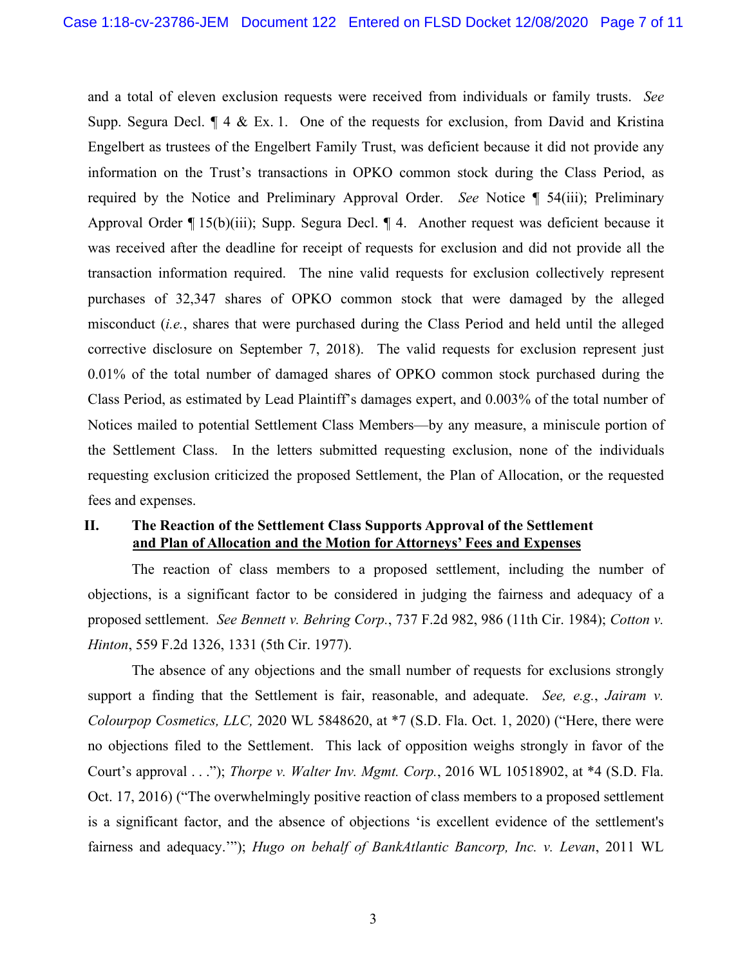and a total of eleven exclusion requests were received from individuals or family trusts. *See* Supp. Segura Decl.  $\P$  4 & Ex. 1. One of the requests for exclusion, from David and Kristina Engelbert as trustees of the Engelbert Family Trust, was deficient because it did not provide any information on the Trust's transactions in OPKO common stock during the Class Period, as required by the Notice and Preliminary Approval Order. *See* Notice ¶ 54(iii); Preliminary Approval Order ¶ 15(b)(iii); Supp. Segura Decl. ¶ 4. Another request was deficient because it was received after the deadline for receipt of requests for exclusion and did not provide all the transaction information required. The nine valid requests for exclusion collectively represent purchases of 32,347 shares of OPKO common stock that were damaged by the alleged misconduct (*i.e.*, shares that were purchased during the Class Period and held until the alleged corrective disclosure on September 7, 2018). The valid requests for exclusion represent just 0.01% of the total number of damaged shares of OPKO common stock purchased during the Class Period, as estimated by Lead Plaintiff's damages expert, and 0.003% of the total number of Notices mailed to potential Settlement Class Members—by any measure, a miniscule portion of the Settlement Class. In the letters submitted requesting exclusion, none of the individuals requesting exclusion criticized the proposed Settlement, the Plan of Allocation, or the requested fees and expenses.

## **II. The Reaction of the Settlement Class Supports Approval of the Settlement and Plan of Allocation and the Motion for Attorneys' Fees and Expenses**

The reaction of class members to a proposed settlement, including the number of objections, is a significant factor to be considered in judging the fairness and adequacy of a proposed settlement. *See Bennett v. Behring Corp.*, 737 F.2d 982, 986 (11th Cir. 1984); *Cotton v. Hinton*, 559 F.2d 1326, 1331 (5th Cir. 1977).

The absence of any objections and the small number of requests for exclusions strongly support a finding that the Settlement is fair, reasonable, and adequate. *See, e.g.*, *Jairam v. Colourpop Cosmetics, LLC,* 2020 WL 5848620, at \*7 (S.D. Fla. Oct. 1, 2020) ("Here, there were no objections filed to the Settlement. This lack of opposition weighs strongly in favor of the Court's approval . . ."); *Thorpe v. Walter Inv. Mgmt. Corp.*, 2016 WL 10518902, at \*4 (S.D. Fla. Oct. 17, 2016) ("The overwhelmingly positive reaction of class members to a proposed settlement is a significant factor, and the absence of objections 'is excellent evidence of the settlement's fairness and adequacy.'"); *Hugo on behalf of BankAtlantic Bancorp, Inc. v. Levan*, 2011 WL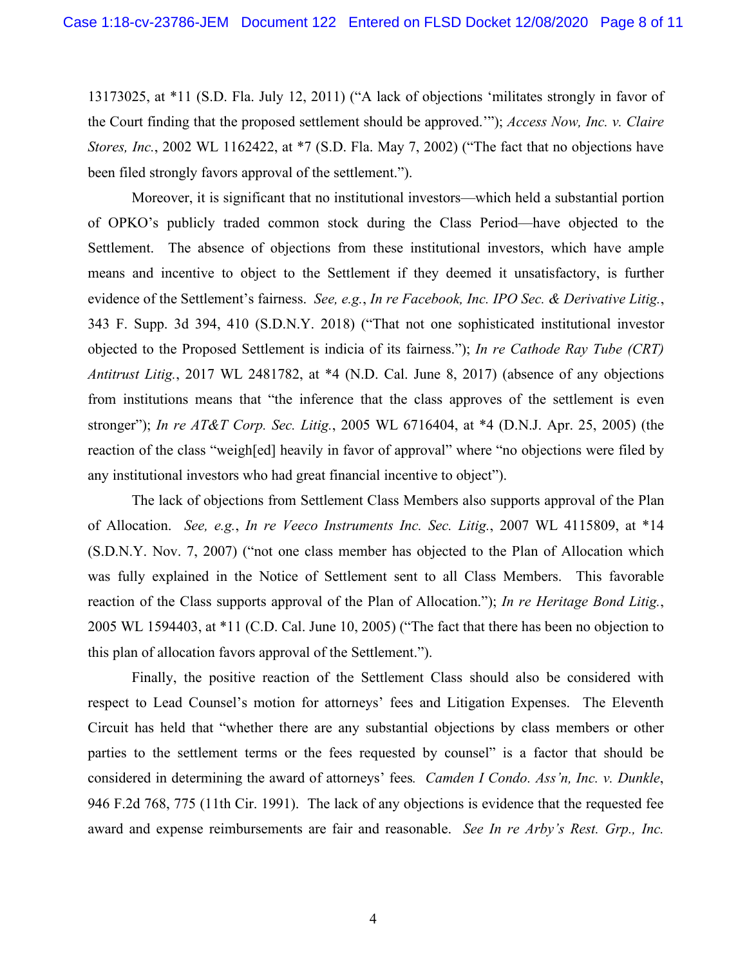13173025, at \*11 (S.D. Fla. July 12, 2011) ("A lack of objections 'militates strongly in favor of the Court finding that the proposed settlement should be approved.'"); *Access Now, Inc. v. Claire Stores, Inc.*, 2002 WL 1162422, at \*7 (S.D. Fla. May 7, 2002) ("The fact that no objections have been filed strongly favors approval of the settlement.").

Moreover, it is significant that no institutional investors—which held a substantial portion of OPKO's publicly traded common stock during the Class Period—have objected to the Settlement. The absence of objections from these institutional investors, which have ample means and incentive to object to the Settlement if they deemed it unsatisfactory, is further evidence of the Settlement's fairness. *See, e.g.*, *In re Facebook, Inc. IPO Sec. & Derivative Litig.*, 343 F. Supp. 3d 394, 410 (S.D.N.Y. 2018) ("That not one sophisticated institutional investor objected to the Proposed Settlement is indicia of its fairness."); *In re Cathode Ray Tube (CRT) Antitrust Litig.*, 2017 WL 2481782, at \*4 (N.D. Cal. June 8, 2017) (absence of any objections from institutions means that "the inference that the class approves of the settlement is even stronger"); *In re AT&T Corp. Sec. Litig.*, 2005 WL 6716404, at \*4 (D.N.J. Apr. 25, 2005) (the reaction of the class "weigh[ed] heavily in favor of approval" where "no objections were filed by any institutional investors who had great financial incentive to object").

The lack of objections from Settlement Class Members also supports approval of the Plan of Allocation. *See, e.g.*, *In re Veeco Instruments Inc. Sec. Litig.*, 2007 WL 4115809, at \*14 (S.D.N.Y. Nov. 7, 2007) ("not one class member has objected to the Plan of Allocation which was fully explained in the Notice of Settlement sent to all Class Members. This favorable reaction of the Class supports approval of the Plan of Allocation."); *In re Heritage Bond Litig.*, 2005 WL 1594403, at \*11 (C.D. Cal. June 10, 2005) ("The fact that there has been no objection to this plan of allocation favors approval of the Settlement.").

Finally, the positive reaction of the Settlement Class should also be considered with respect to Lead Counsel's motion for attorneys' fees and Litigation Expenses. The Eleventh Circuit has held that "whether there are any substantial objections by class members or other parties to the settlement terms or the fees requested by counsel" is a factor that should be considered in determining the award of attorneys' fees*. Camden I Condo. Ass'n, Inc. v. Dunkle*, 946 F.2d 768, 775 (11th Cir. 1991). The lack of any objections is evidence that the requested fee award and expense reimbursements are fair and reasonable. *See In re Arby's Rest. Grp., Inc.*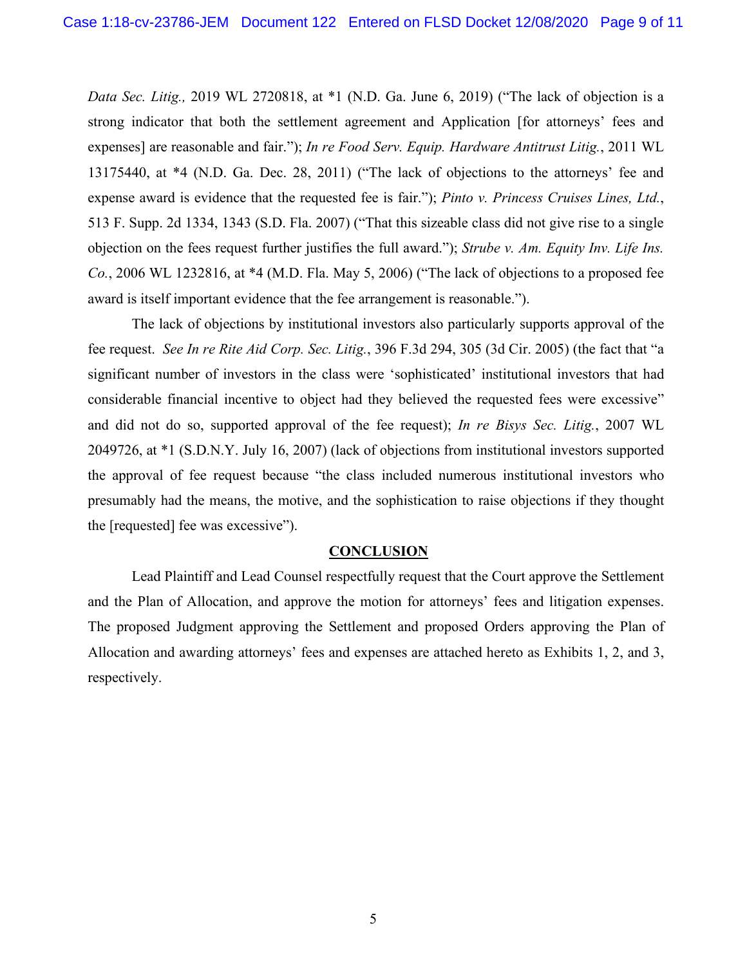*Data Sec. Litig.,* 2019 WL 2720818, at \*1 (N.D. Ga. June 6, 2019) ("The lack of objection is a strong indicator that both the settlement agreement and Application [for attorneys' fees and expenses] are reasonable and fair."); *In re Food Serv. Equip. Hardware Antitrust Litig.*, 2011 WL 13175440, at \*4 (N.D. Ga. Dec. 28, 2011) ("The lack of objections to the attorneys' fee and expense award is evidence that the requested fee is fair."); *Pinto v. Princess Cruises Lines, Ltd.*, 513 F. Supp. 2d 1334, 1343 (S.D. Fla. 2007) ("That this sizeable class did not give rise to a single objection on the fees request further justifies the full award."); *Strube v. Am. Equity Inv. Life Ins. Co.*, 2006 WL 1232816, at \*4 (M.D. Fla. May 5, 2006) ("The lack of objections to a proposed fee award is itself important evidence that the fee arrangement is reasonable.").

The lack of objections by institutional investors also particularly supports approval of the fee request. *See In re Rite Aid Corp. Sec. Litig.*, 396 F.3d 294, 305 (3d Cir. 2005) (the fact that "a significant number of investors in the class were 'sophisticated' institutional investors that had considerable financial incentive to object had they believed the requested fees were excessive" and did not do so, supported approval of the fee request); *In re Bisys Sec. Litig.*, 2007 WL 2049726, at \*1 (S.D.N.Y. July 16, 2007) (lack of objections from institutional investors supported the approval of fee request because "the class included numerous institutional investors who presumably had the means, the motive, and the sophistication to raise objections if they thought the [requested] fee was excessive").

#### **CONCLUSION**

Lead Plaintiff and Lead Counsel respectfully request that the Court approve the Settlement and the Plan of Allocation, and approve the motion for attorneys' fees and litigation expenses. The proposed Judgment approving the Settlement and proposed Orders approving the Plan of Allocation and awarding attorneys' fees and expenses are attached hereto as Exhibits 1, 2, and 3, respectively.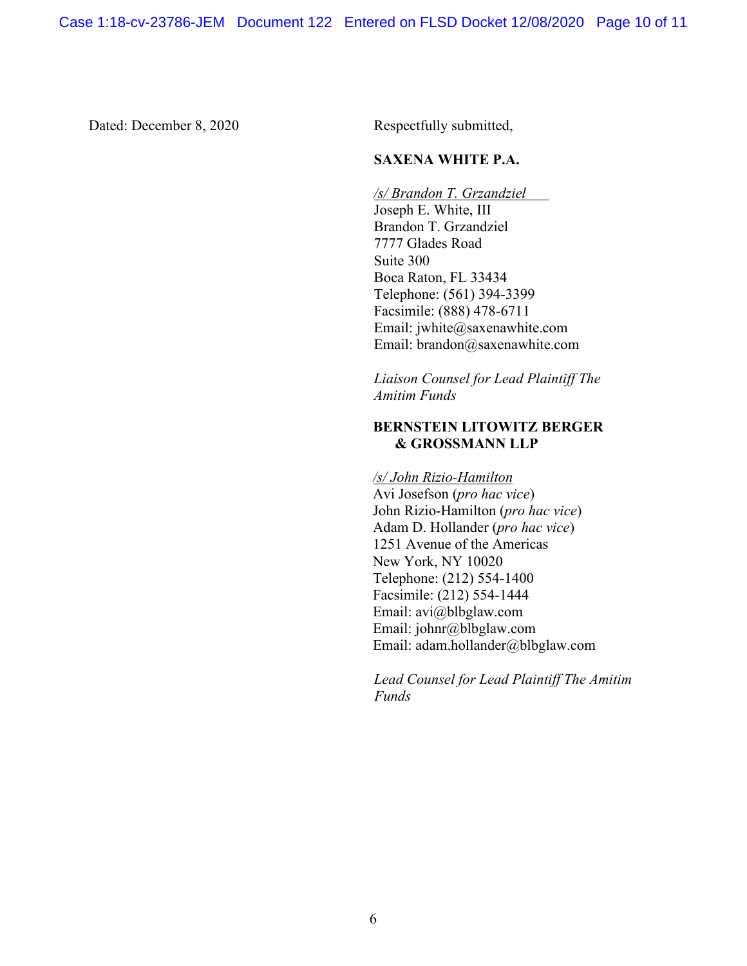Dated: December 8, 2020 Respectfully submitted,

## **SAXENA WHITE P.A.**

*/s/ Brandon T. Grzandziel*  Joseph E. White, III Brandon T. Grzandziel 7777 Glades Road Suite 300 Boca Raton, FL 33434 Telephone: (561) 394-3399 Facsimile: (888) 478-6711 Email: jwhite@saxenawhite.com Email: brandon@saxenawhite.com

*Liaison Counsel for Lead Plaintiff The Amitim Funds*

## **BERNSTEIN LITOWITZ BERGER & GROSSMANN LLP**

*/s/ John Rizio-Hamilton*  Avi Josefson (*pro hac vice*) John Rizio-Hamilton (*pro hac vice*) Adam D. Hollander (*pro hac vice*) 1251 Avenue of the Americas New York, NY 10020 Telephone: (212) 554-1400 Facsimile: (212) 554-1444 Email: avi@blbglaw.com Email: johnr@blbglaw.com Email: adam.hollander@blbglaw.com

*Lead Counsel for Lead Plaintiff The Amitim Funds*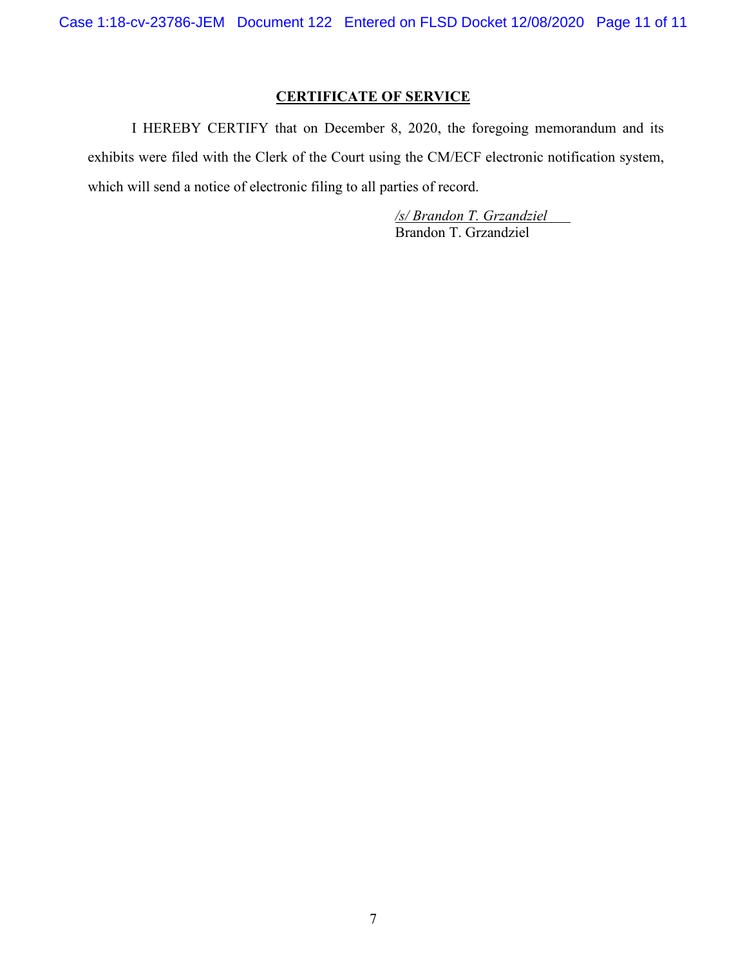Case 1:18-cv-23786-JEM Document 122 Entered on FLSD Docket 12/08/2020 Page 11 of 11

# **CERTIFICATE OF SERVICE**

I HEREBY CERTIFY that on December 8, 2020, the foregoing memorandum and its exhibits were filed with the Clerk of the Court using the CM/ECF electronic notification system, which will send a notice of electronic filing to all parties of record.

> */s/ Brandon T. Grzandziel*  Brandon T. Grzandziel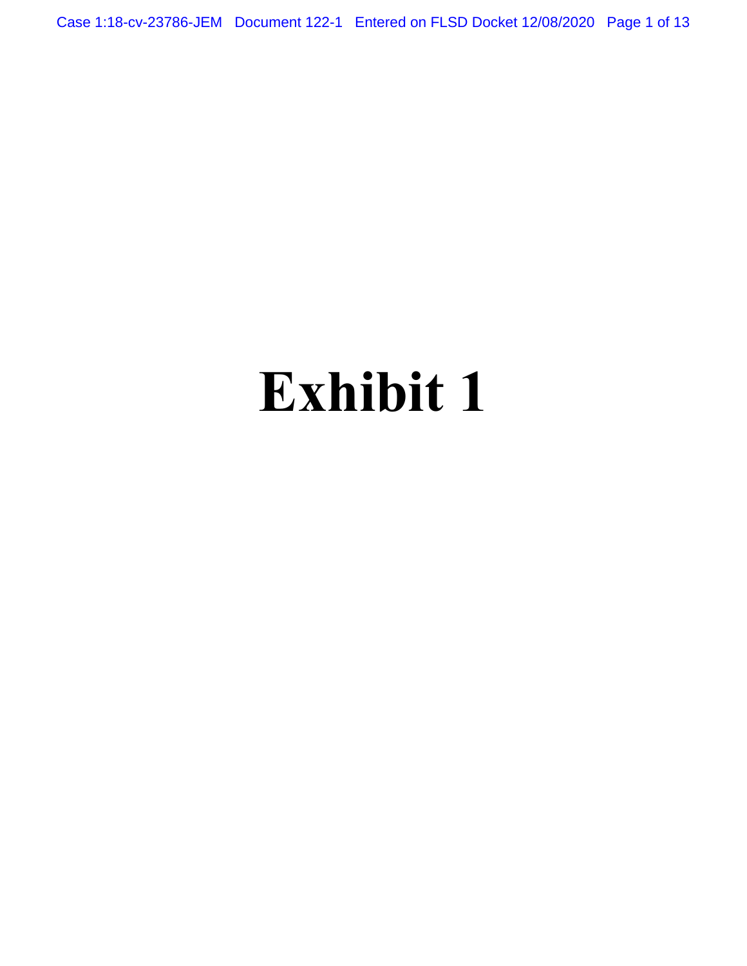Case 1:18-cv-23786-JEM Document 122-1 Entered on FLSD Docket 12/08/2020 Page 1 of 13

# **Exhibit 1**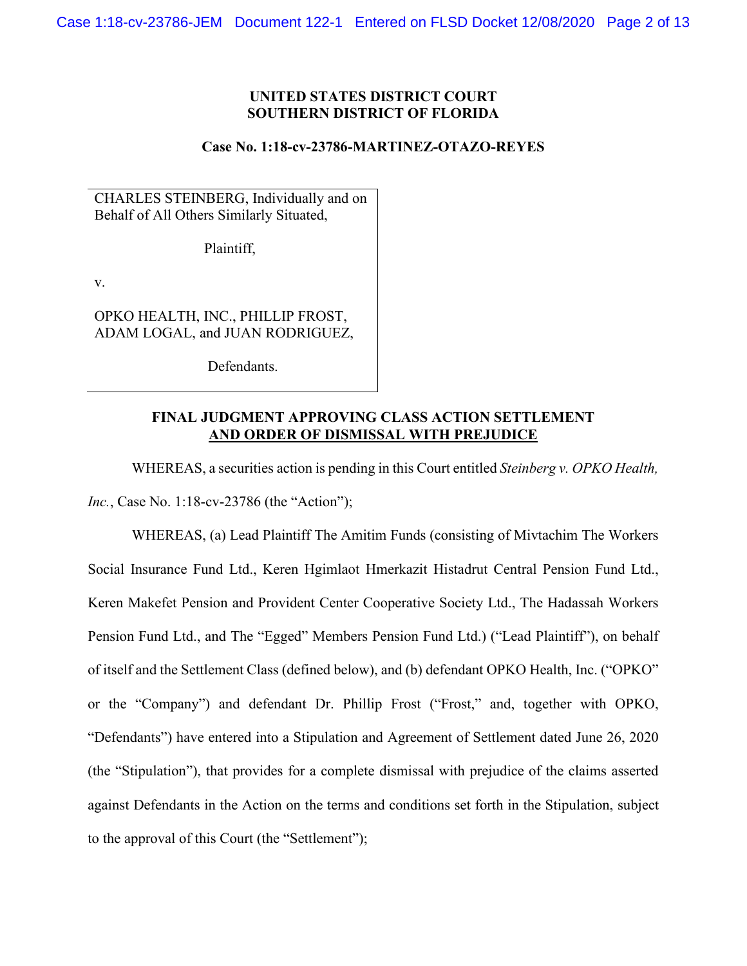#### **UNITED STATES DISTRICT COURT SOUTHERN DISTRICT OF FLORIDA**

#### **Case No. 1:18-cv-23786-MARTINEZ-OTAZO-REYES**

CHARLES STEINBERG, Individually and on Behalf of All Others Similarly Situated,

Plaintiff,

v.

OPKO HEALTH, INC., PHILLIP FROST, ADAM LOGAL, and JUAN RODRIGUEZ,

Defendants.

#### **FINAL JUDGMENT APPROVING CLASS ACTION SETTLEMENT AND ORDER OF DISMISSAL WITH PREJUDICE**

WHEREAS, a securities action is pending in this Court entitled *Steinberg v. OPKO Health,* 

*Inc.*, Case No. 1:18-cv-23786 (the "Action");

WHEREAS, (a) Lead Plaintiff The Amitim Funds (consisting of Mivtachim The Workers Social Insurance Fund Ltd., Keren Hgimlaot Hmerkazit Histadrut Central Pension Fund Ltd., Keren Makefet Pension and Provident Center Cooperative Society Ltd., The Hadassah Workers Pension Fund Ltd., and The "Egged" Members Pension Fund Ltd.) ("Lead Plaintiff"), on behalf of itself and the Settlement Class (defined below), and (b) defendant OPKO Health, Inc. ("OPKO" or the "Company") and defendant Dr. Phillip Frost ("Frost," and, together with OPKO, "Defendants") have entered into a Stipulation and Agreement of Settlement dated June 26, 2020 (the "Stipulation"), that provides for a complete dismissal with prejudice of the claims asserted against Defendants in the Action on the terms and conditions set forth in the Stipulation, subject to the approval of this Court (the "Settlement");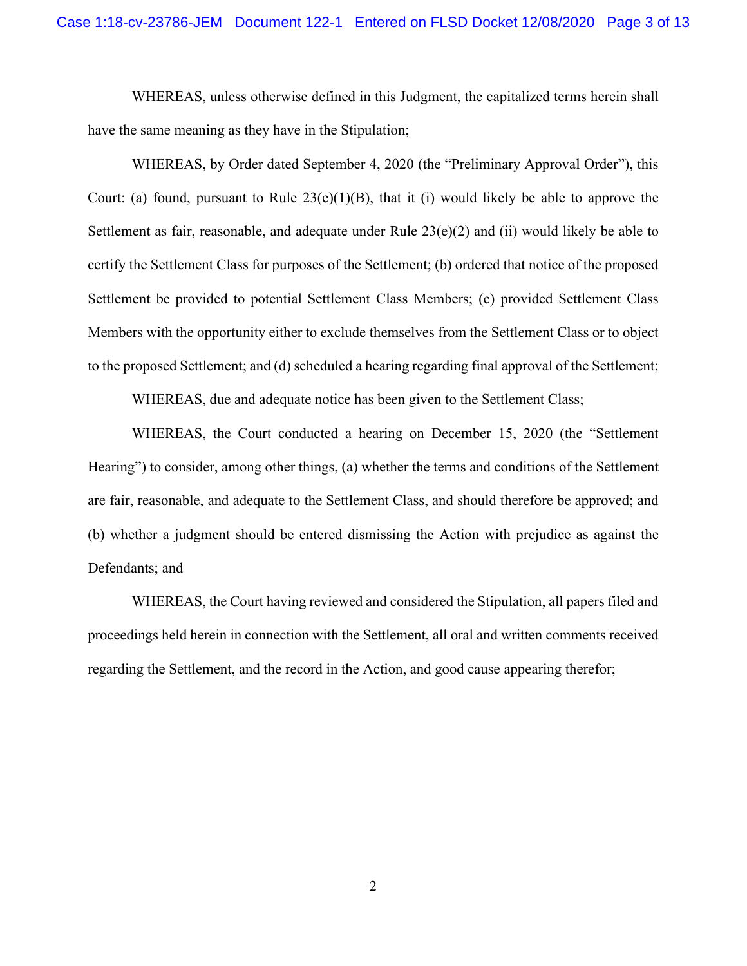WHEREAS, unless otherwise defined in this Judgment, the capitalized terms herein shall have the same meaning as they have in the Stipulation;

WHEREAS, by Order dated September 4, 2020 (the "Preliminary Approval Order"), this Court: (a) found, pursuant to Rule  $23(e)(1)(B)$ , that it (i) would likely be able to approve the Settlement as fair, reasonable, and adequate under Rule 23(e)(2) and (ii) would likely be able to certify the Settlement Class for purposes of the Settlement; (b) ordered that notice of the proposed Settlement be provided to potential Settlement Class Members; (c) provided Settlement Class Members with the opportunity either to exclude themselves from the Settlement Class or to object to the proposed Settlement; and (d) scheduled a hearing regarding final approval of the Settlement;

WHEREAS, due and adequate notice has been given to the Settlement Class;

WHEREAS, the Court conducted a hearing on December 15, 2020 (the "Settlement Hearing") to consider, among other things, (a) whether the terms and conditions of the Settlement are fair, reasonable, and adequate to the Settlement Class, and should therefore be approved; and (b) whether a judgment should be entered dismissing the Action with prejudice as against the Defendants; and

WHEREAS, the Court having reviewed and considered the Stipulation, all papers filed and proceedings held herein in connection with the Settlement, all oral and written comments received regarding the Settlement, and the record in the Action, and good cause appearing therefor;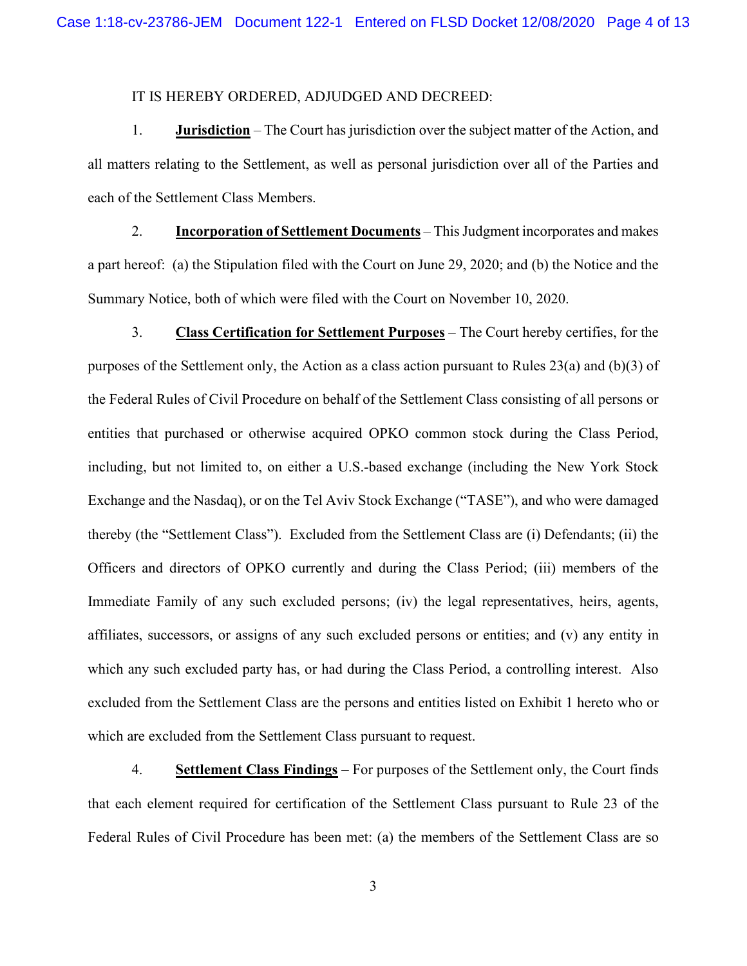#### IT IS HEREBY ORDERED, ADJUDGED AND DECREED:

1. **Jurisdiction** – The Court has jurisdiction over the subject matter of the Action, and all matters relating to the Settlement, as well as personal jurisdiction over all of the Parties and each of the Settlement Class Members.

2. **Incorporation of Settlement Documents** – This Judgment incorporates and makes a part hereof: (a) the Stipulation filed with the Court on June 29, 2020; and (b) the Notice and the Summary Notice, both of which were filed with the Court on November 10, 2020.

3. **Class Certification for Settlement Purposes** – The Court hereby certifies, for the purposes of the Settlement only, the Action as a class action pursuant to Rules 23(a) and (b)(3) of the Federal Rules of Civil Procedure on behalf of the Settlement Class consisting of all persons or entities that purchased or otherwise acquired OPKO common stock during the Class Period, including, but not limited to, on either a U.S.-based exchange (including the New York Stock Exchange and the Nasdaq), or on the Tel Aviv Stock Exchange ("TASE"), and who were damaged thereby (the "Settlement Class"). Excluded from the Settlement Class are (i) Defendants; (ii) the Officers and directors of OPKO currently and during the Class Period; (iii) members of the Immediate Family of any such excluded persons; (iv) the legal representatives, heirs, agents, affiliates, successors, or assigns of any such excluded persons or entities; and (v) any entity in which any such excluded party has, or had during the Class Period, a controlling interest. Also excluded from the Settlement Class are the persons and entities listed on Exhibit 1 hereto who or which are excluded from the Settlement Class pursuant to request.

4. **Settlement Class Findings** – For purposes of the Settlement only, the Court finds that each element required for certification of the Settlement Class pursuant to Rule 23 of the Federal Rules of Civil Procedure has been met: (a) the members of the Settlement Class are so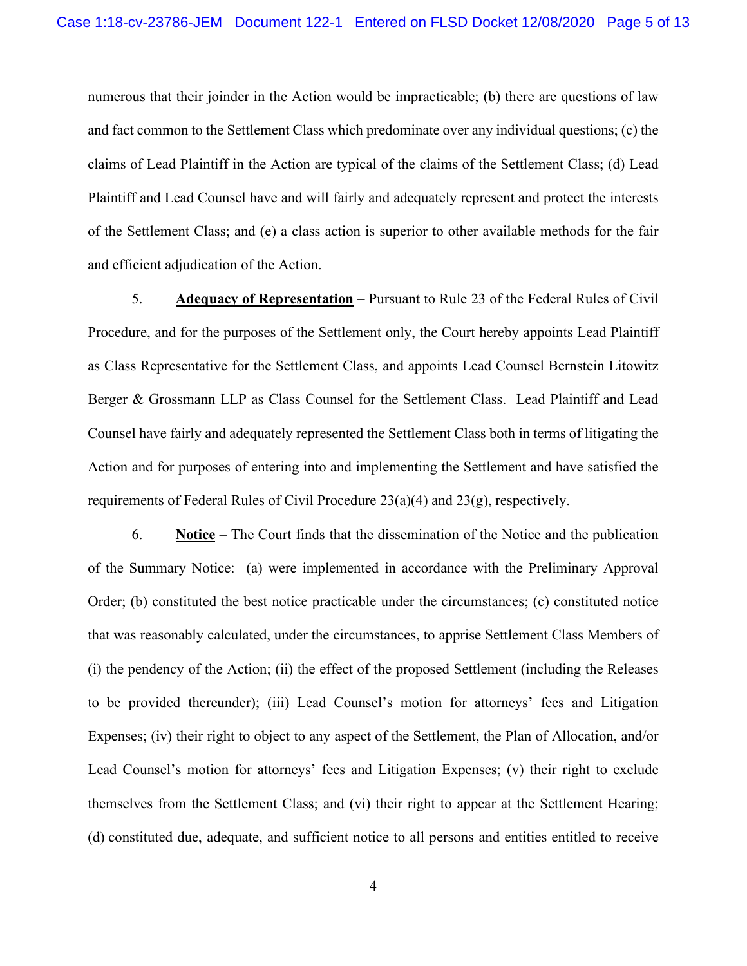numerous that their joinder in the Action would be impracticable; (b) there are questions of law and fact common to the Settlement Class which predominate over any individual questions; (c) the claims of Lead Plaintiff in the Action are typical of the claims of the Settlement Class; (d) Lead Plaintiff and Lead Counsel have and will fairly and adequately represent and protect the interests of the Settlement Class; and (e) a class action is superior to other available methods for the fair and efficient adjudication of the Action.

5. **Adequacy of Representation** – Pursuant to Rule 23 of the Federal Rules of Civil Procedure, and for the purposes of the Settlement only, the Court hereby appoints Lead Plaintiff as Class Representative for the Settlement Class, and appoints Lead Counsel Bernstein Litowitz Berger & Grossmann LLP as Class Counsel for the Settlement Class. Lead Plaintiff and Lead Counsel have fairly and adequately represented the Settlement Class both in terms of litigating the Action and for purposes of entering into and implementing the Settlement and have satisfied the requirements of Federal Rules of Civil Procedure 23(a)(4) and 23(g), respectively.

6. **Notice** – The Court finds that the dissemination of the Notice and the publication of the Summary Notice: (a) were implemented in accordance with the Preliminary Approval Order; (b) constituted the best notice practicable under the circumstances; (c) constituted notice that was reasonably calculated, under the circumstances, to apprise Settlement Class Members of (i) the pendency of the Action; (ii) the effect of the proposed Settlement (including the Releases to be provided thereunder); (iii) Lead Counsel's motion for attorneys' fees and Litigation Expenses; (iv) their right to object to any aspect of the Settlement, the Plan of Allocation, and/or Lead Counsel's motion for attorneys' fees and Litigation Expenses; (v) their right to exclude themselves from the Settlement Class; and (vi) their right to appear at the Settlement Hearing; (d) constituted due, adequate, and sufficient notice to all persons and entities entitled to receive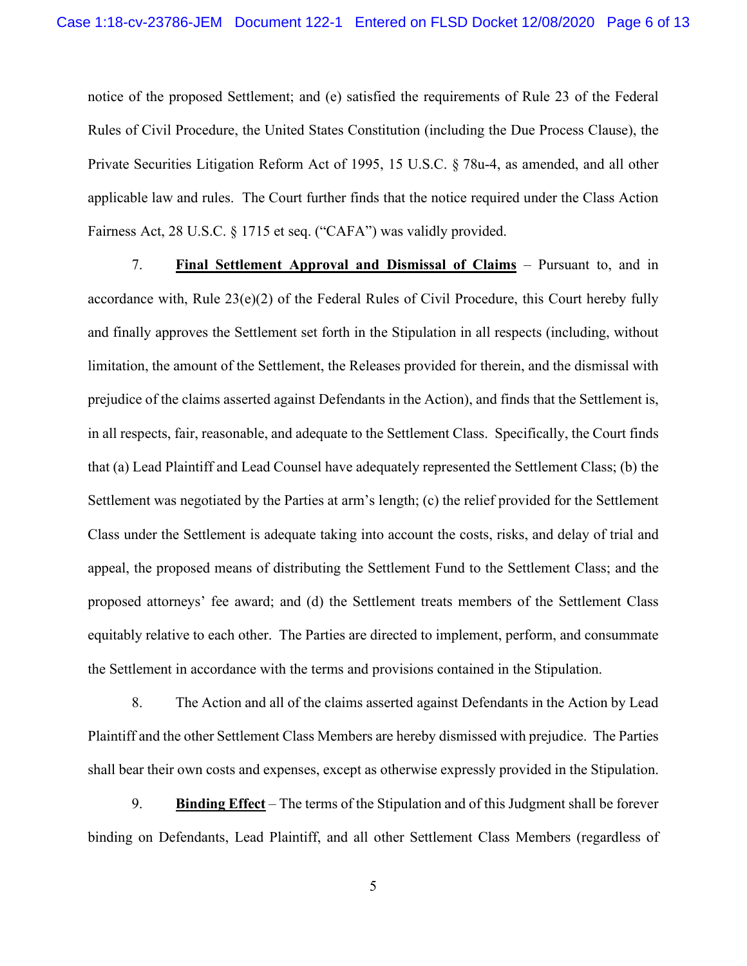notice of the proposed Settlement; and (e) satisfied the requirements of Rule 23 of the Federal Rules of Civil Procedure, the United States Constitution (including the Due Process Clause), the Private Securities Litigation Reform Act of 1995, 15 U.S.C. § 78u-4, as amended, and all other applicable law and rules. The Court further finds that the notice required under the Class Action Fairness Act, 28 U.S.C. § 1715 et seq. ("CAFA") was validly provided.

7. **Final Settlement Approval and Dismissal of Claims** – Pursuant to, and in accordance with, Rule 23(e)(2) of the Federal Rules of Civil Procedure, this Court hereby fully and finally approves the Settlement set forth in the Stipulation in all respects (including, without limitation, the amount of the Settlement, the Releases provided for therein, and the dismissal with prejudice of the claims asserted against Defendants in the Action), and finds that the Settlement is, in all respects, fair, reasonable, and adequate to the Settlement Class. Specifically, the Court finds that (a) Lead Plaintiff and Lead Counsel have adequately represented the Settlement Class; (b) the Settlement was negotiated by the Parties at arm's length; (c) the relief provided for the Settlement Class under the Settlement is adequate taking into account the costs, risks, and delay of trial and appeal, the proposed means of distributing the Settlement Fund to the Settlement Class; and the proposed attorneys' fee award; and (d) the Settlement treats members of the Settlement Class equitably relative to each other. The Parties are directed to implement, perform, and consummate the Settlement in accordance with the terms and provisions contained in the Stipulation.

8. The Action and all of the claims asserted against Defendants in the Action by Lead Plaintiff and the other Settlement Class Members are hereby dismissed with prejudice. The Parties shall bear their own costs and expenses, except as otherwise expressly provided in the Stipulation.

9. **Binding Effect** – The terms of the Stipulation and of this Judgment shall be forever binding on Defendants, Lead Plaintiff, and all other Settlement Class Members (regardless of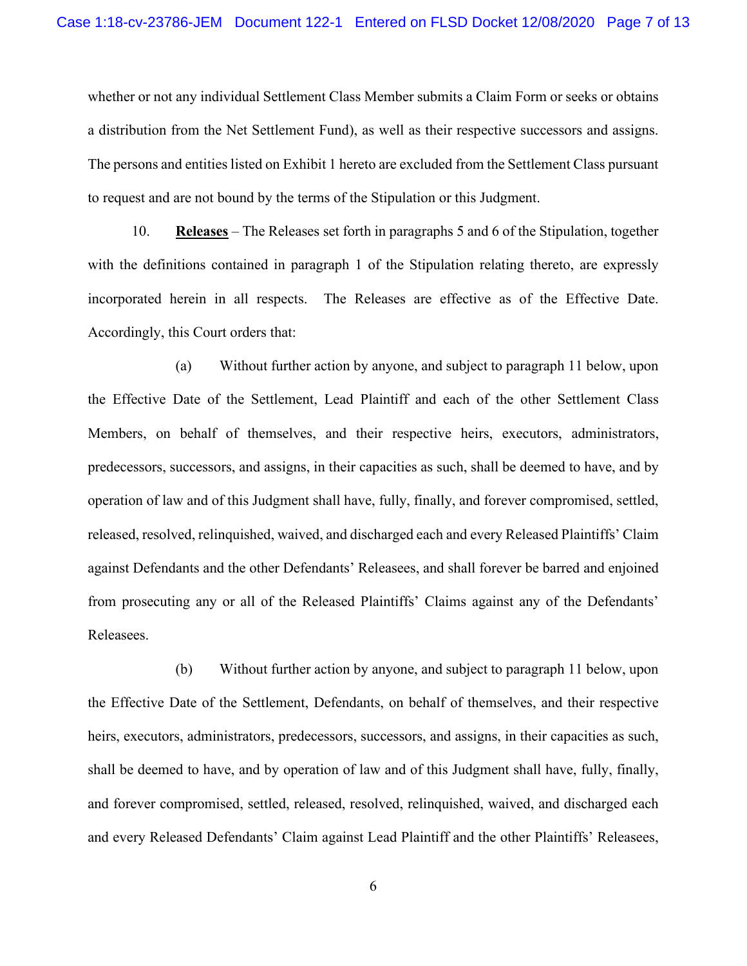whether or not any individual Settlement Class Member submits a Claim Form or seeks or obtains a distribution from the Net Settlement Fund), as well as their respective successors and assigns. The persons and entities listed on Exhibit 1 hereto are excluded from the Settlement Class pursuant to request and are not bound by the terms of the Stipulation or this Judgment.

10. **Releases** – The Releases set forth in paragraphs 5 and 6 of the Stipulation, together with the definitions contained in paragraph 1 of the Stipulation relating thereto, are expressly incorporated herein in all respects. The Releases are effective as of the Effective Date. Accordingly, this Court orders that:

(a) Without further action by anyone, and subject to paragraph 11 below, upon the Effective Date of the Settlement, Lead Plaintiff and each of the other Settlement Class Members, on behalf of themselves, and their respective heirs, executors, administrators, predecessors, successors, and assigns, in their capacities as such, shall be deemed to have, and by operation of law and of this Judgment shall have, fully, finally, and forever compromised, settled, released, resolved, relinquished, waived, and discharged each and every Released Plaintiffs' Claim against Defendants and the other Defendants' Releasees, and shall forever be barred and enjoined from prosecuting any or all of the Released Plaintiffs' Claims against any of the Defendants' Releasees.

(b) Without further action by anyone, and subject to paragraph 11 below, upon the Effective Date of the Settlement, Defendants, on behalf of themselves, and their respective heirs, executors, administrators, predecessors, successors, and assigns, in their capacities as such, shall be deemed to have, and by operation of law and of this Judgment shall have, fully, finally, and forever compromised, settled, released, resolved, relinquished, waived, and discharged each and every Released Defendants' Claim against Lead Plaintiff and the other Plaintiffs' Releasees,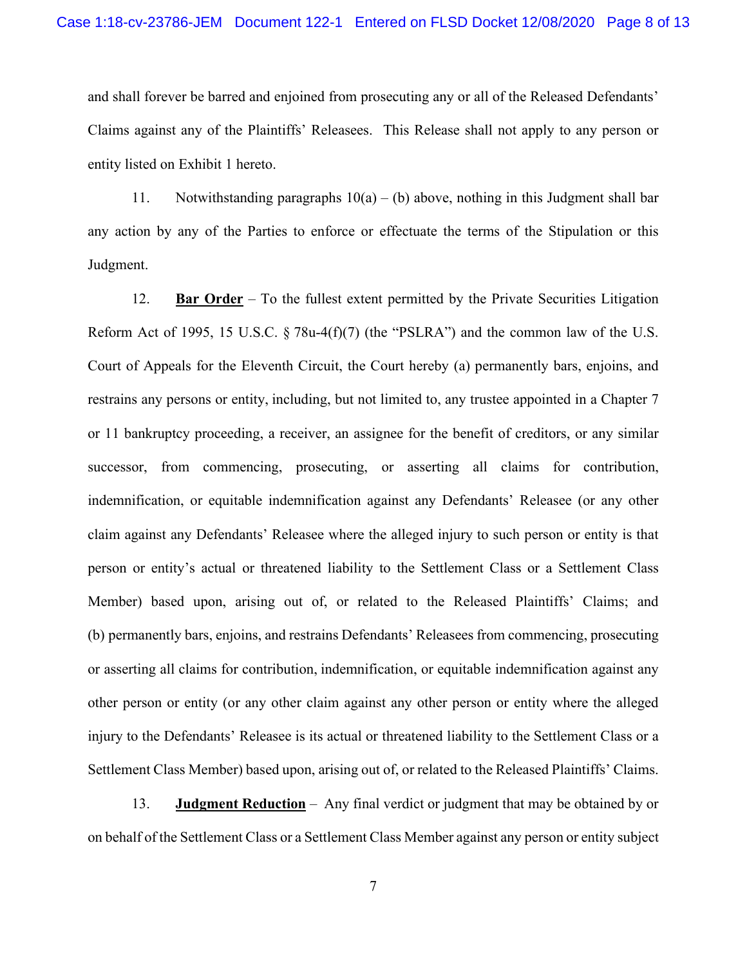and shall forever be barred and enjoined from prosecuting any or all of the Released Defendants' Claims against any of the Plaintiffs' Releasees. This Release shall not apply to any person or entity listed on Exhibit 1 hereto.

11. Notwithstanding paragraphs  $10(a) - (b)$  above, nothing in this Judgment shall bar any action by any of the Parties to enforce or effectuate the terms of the Stipulation or this Judgment.

12. **Bar Order** – To the fullest extent permitted by the Private Securities Litigation Reform Act of 1995, 15 U.S.C. § 78u-4(f)(7) (the "PSLRA") and the common law of the U.S. Court of Appeals for the Eleventh Circuit, the Court hereby (a) permanently bars, enjoins, and restrains any persons or entity, including, but not limited to, any trustee appointed in a Chapter 7 or 11 bankruptcy proceeding, a receiver, an assignee for the benefit of creditors, or any similar successor, from commencing, prosecuting, or asserting all claims for contribution, indemnification, or equitable indemnification against any Defendants' Releasee (or any other claim against any Defendants' Releasee where the alleged injury to such person or entity is that person or entity's actual or threatened liability to the Settlement Class or a Settlement Class Member) based upon, arising out of, or related to the Released Plaintiffs' Claims; and (b) permanently bars, enjoins, and restrains Defendants' Releasees from commencing, prosecuting or asserting all claims for contribution, indemnification, or equitable indemnification against any other person or entity (or any other claim against any other person or entity where the alleged injury to the Defendants' Releasee is its actual or threatened liability to the Settlement Class or a Settlement Class Member) based upon, arising out of, or related to the Released Plaintiffs' Claims.

13. **Judgment Reduction** – Any final verdict or judgment that may be obtained by or on behalf of the Settlement Class or a Settlement Class Member against any person or entity subject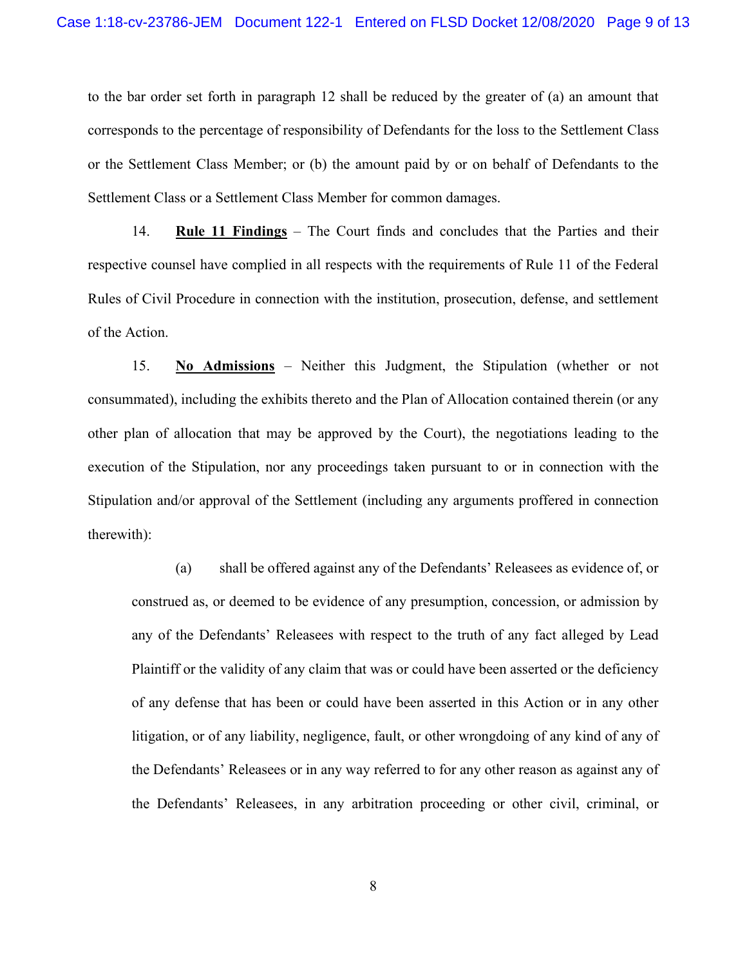to the bar order set forth in paragraph 12 shall be reduced by the greater of (a) an amount that corresponds to the percentage of responsibility of Defendants for the loss to the Settlement Class or the Settlement Class Member; or (b) the amount paid by or on behalf of Defendants to the Settlement Class or a Settlement Class Member for common damages.

14. **Rule 11 Findings** – The Court finds and concludes that the Parties and their respective counsel have complied in all respects with the requirements of Rule 11 of the Federal Rules of Civil Procedure in connection with the institution, prosecution, defense, and settlement of the Action.

15. **No Admissions** – Neither this Judgment, the Stipulation (whether or not consummated), including the exhibits thereto and the Plan of Allocation contained therein (or any other plan of allocation that may be approved by the Court), the negotiations leading to the execution of the Stipulation, nor any proceedings taken pursuant to or in connection with the Stipulation and/or approval of the Settlement (including any arguments proffered in connection therewith):

(a) shall be offered against any of the Defendants' Releasees as evidence of, or construed as, or deemed to be evidence of any presumption, concession, or admission by any of the Defendants' Releasees with respect to the truth of any fact alleged by Lead Plaintiff or the validity of any claim that was or could have been asserted or the deficiency of any defense that has been or could have been asserted in this Action or in any other litigation, or of any liability, negligence, fault, or other wrongdoing of any kind of any of the Defendants' Releasees or in any way referred to for any other reason as against any of the Defendants' Releasees, in any arbitration proceeding or other civil, criminal, or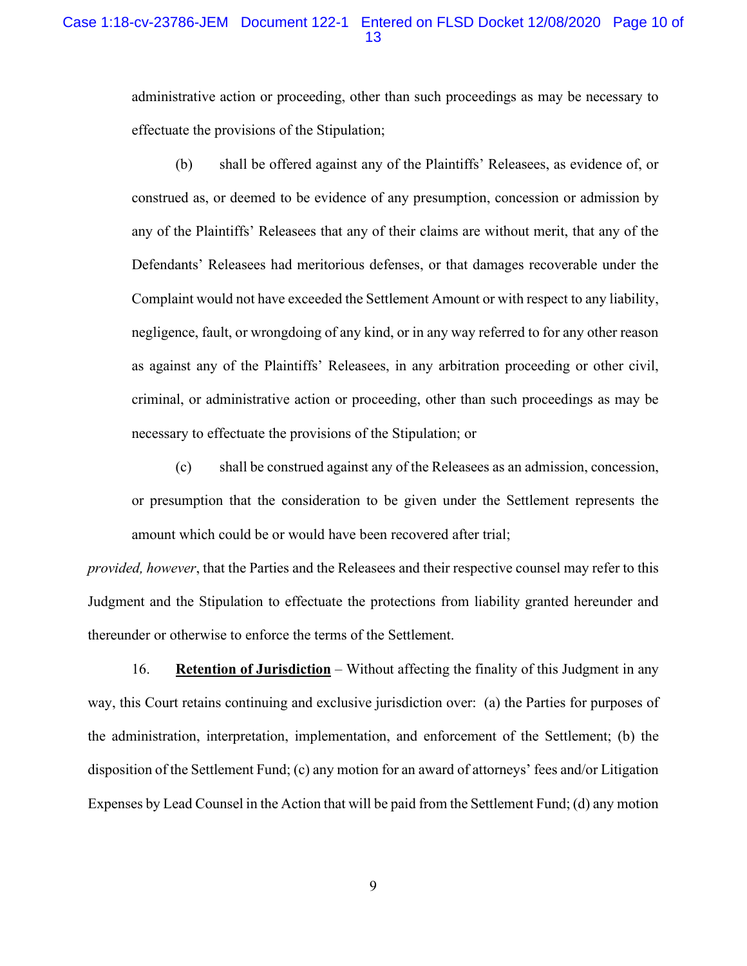## Case 1:18-cv-23786-JEM Document 122-1 Entered on FLSD Docket 12/08/2020 Page 10 of 13

administrative action or proceeding, other than such proceedings as may be necessary to effectuate the provisions of the Stipulation;

(b) shall be offered against any of the Plaintiffs' Releasees, as evidence of, or construed as, or deemed to be evidence of any presumption, concession or admission by any of the Plaintiffs' Releasees that any of their claims are without merit, that any of the Defendants' Releasees had meritorious defenses, or that damages recoverable under the Complaint would not have exceeded the Settlement Amount or with respect to any liability, negligence, fault, or wrongdoing of any kind, or in any way referred to for any other reason as against any of the Plaintiffs' Releasees, in any arbitration proceeding or other civil, criminal, or administrative action or proceeding, other than such proceedings as may be necessary to effectuate the provisions of the Stipulation; or

(c) shall be construed against any of the Releasees as an admission, concession, or presumption that the consideration to be given under the Settlement represents the amount which could be or would have been recovered after trial;

*provided, however*, that the Parties and the Releasees and their respective counsel may refer to this Judgment and the Stipulation to effectuate the protections from liability granted hereunder and thereunder or otherwise to enforce the terms of the Settlement.

16. **Retention of Jurisdiction** – Without affecting the finality of this Judgment in any way, this Court retains continuing and exclusive jurisdiction over: (a) the Parties for purposes of the administration, interpretation, implementation, and enforcement of the Settlement; (b) the disposition of the Settlement Fund; (c) any motion for an award of attorneys' fees and/or Litigation Expenses by Lead Counsel in the Action that will be paid from the Settlement Fund; (d) any motion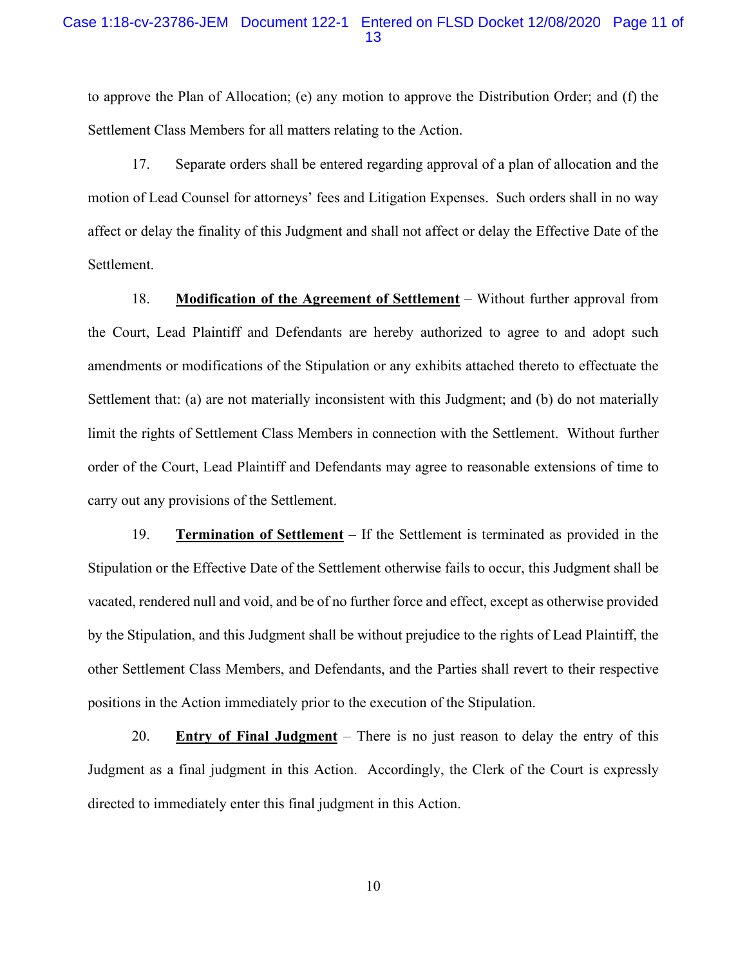## Case 1:18-cv-23786-JEM Document 122-1 Entered on FLSD Docket 12/08/2020 Page 11 of 13

to approve the Plan of Allocation; (e) any motion to approve the Distribution Order; and (f) the Settlement Class Members for all matters relating to the Action.

17. Separate orders shall be entered regarding approval of a plan of allocation and the motion of Lead Counsel for attorneys' fees and Litigation Expenses. Such orders shall in no way affect or delay the finality of this Judgment and shall not affect or delay the Effective Date of the Settlement.

18. **Modification of the Agreement of Settlement** – Without further approval from the Court, Lead Plaintiff and Defendants are hereby authorized to agree to and adopt such amendments or modifications of the Stipulation or any exhibits attached thereto to effectuate the Settlement that: (a) are not materially inconsistent with this Judgment; and (b) do not materially limit the rights of Settlement Class Members in connection with the Settlement. Without further order of the Court, Lead Plaintiff and Defendants may agree to reasonable extensions of time to carry out any provisions of the Settlement.

19. **Termination of Settlement** – If the Settlement is terminated as provided in the Stipulation or the Effective Date of the Settlement otherwise fails to occur, this Judgment shall be vacated, rendered null and void, and be of no further force and effect, except as otherwise provided by the Stipulation, and this Judgment shall be without prejudice to the rights of Lead Plaintiff, the other Settlement Class Members, and Defendants, and the Parties shall revert to their respective positions in the Action immediately prior to the execution of the Stipulation.

20. **Entry of Final Judgment** – There is no just reason to delay the entry of this Judgment as a final judgment in this Action. Accordingly, the Clerk of the Court is expressly directed to immediately enter this final judgment in this Action.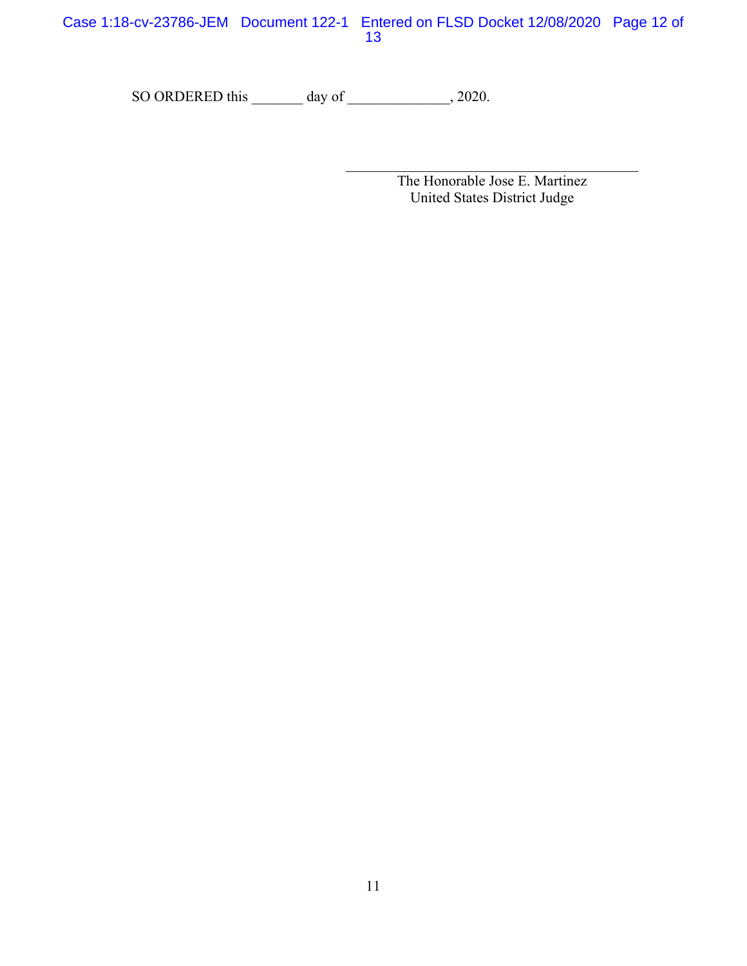Case 1:18-cv-23786-JEM Document 122-1 Entered on FLSD Docket 12/08/2020 Page 12 of 13

SO ORDERED this \_\_\_\_\_\_\_ day of \_\_\_\_\_\_\_\_\_\_\_\_, 2020.

The Honorable Jose E. Martinez United States District Judge

 $\mathcal{L}_\text{max}$  and  $\mathcal{L}_\text{max}$  and  $\mathcal{L}_\text{max}$  and  $\mathcal{L}_\text{max}$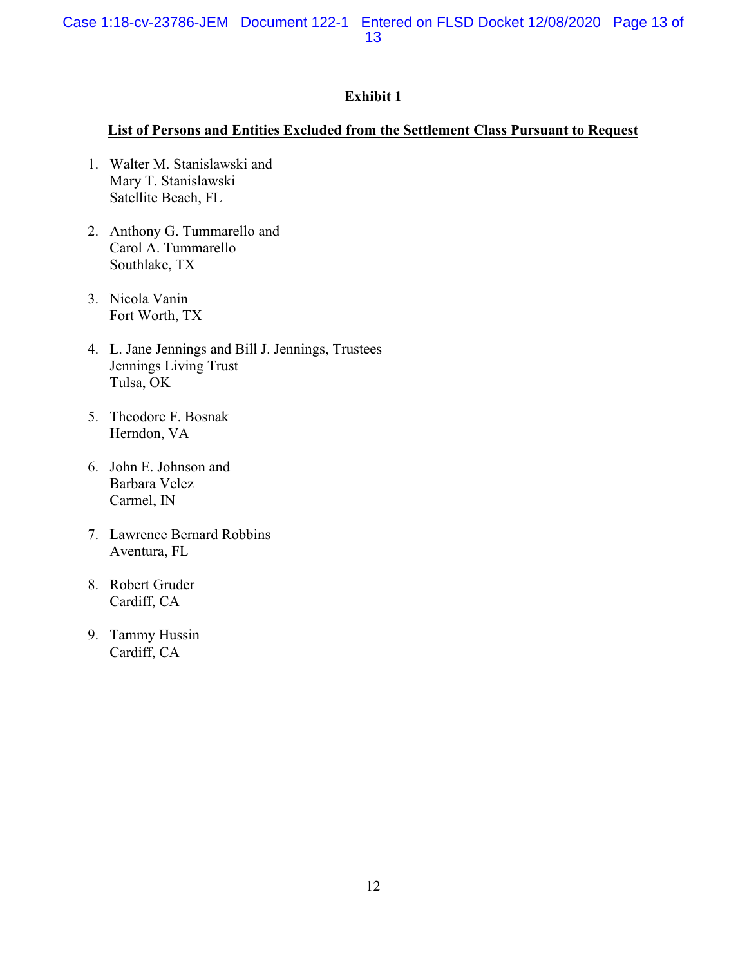# **Exhibit 1**

#### **List of Persons and Entities Excluded from the Settlement Class Pursuant to Request**

- 1. Walter M. Stanislawski and Mary T. Stanislawski Satellite Beach, FL
- 2. Anthony G. Tummarello and Carol A. Tummarello Southlake, TX
- 3. Nicola Vanin Fort Worth, TX
- 4. L. Jane Jennings and Bill J. Jennings, Trustees Jennings Living Trust Tulsa, OK
- 5. Theodore F. Bosnak Herndon, VA
- 6. John E. Johnson and Barbara Velez Carmel, IN
- 7. Lawrence Bernard Robbins Aventura, FL
- 8. Robert Gruder Cardiff, CA
- 9. Tammy Hussin Cardiff, CA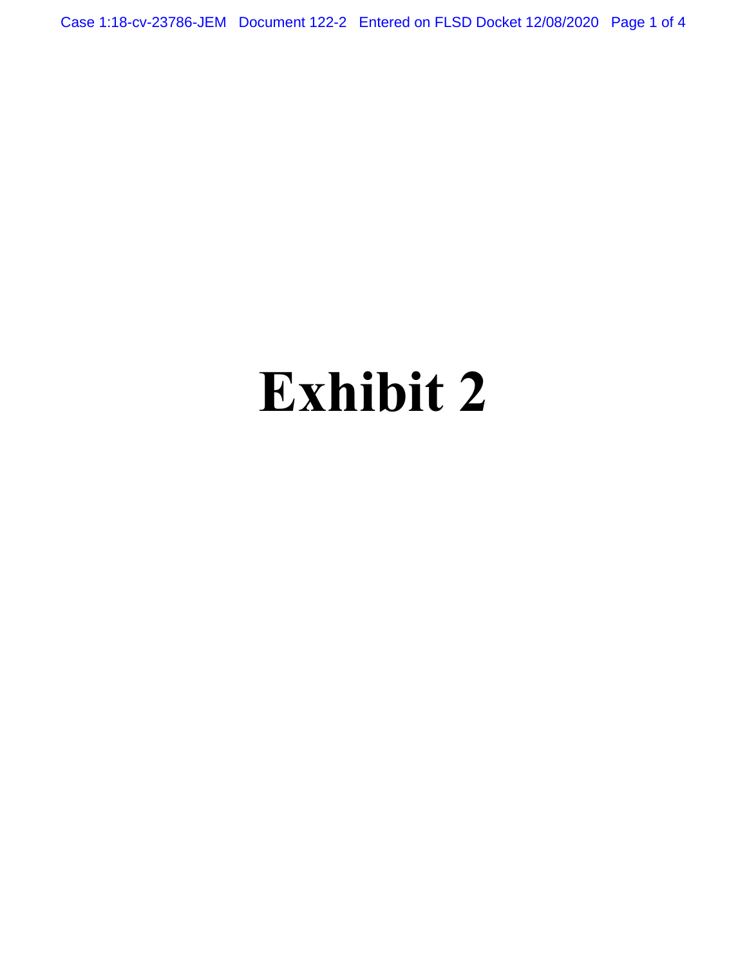Case 1:18-cv-23786-JEM Document 122-2 Entered on FLSD Docket 12/08/2020 Page 1 of 4

# **Exhibit 2**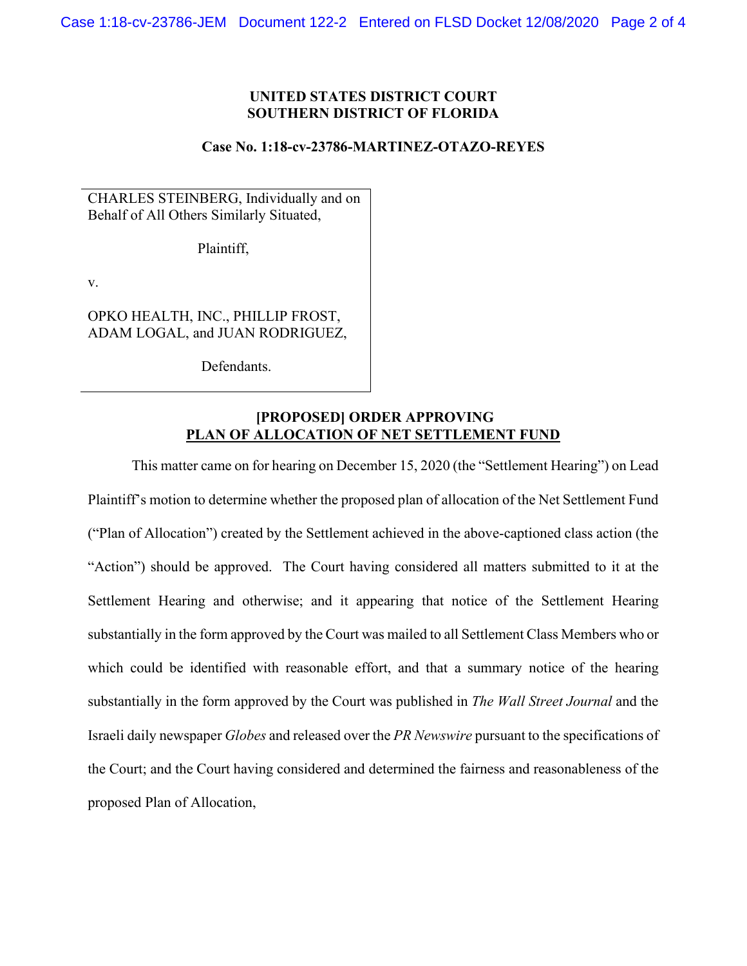#### **UNITED STATES DISTRICT COURT SOUTHERN DISTRICT OF FLORIDA**

#### **Case No. 1:18-cv-23786-MARTINEZ-OTAZO-REYES**

CHARLES STEINBERG, Individually and on Behalf of All Others Similarly Situated,

Plaintiff,

v.

OPKO HEALTH, INC., PHILLIP FROST, ADAM LOGAL, and JUAN RODRIGUEZ,

Defendants.

## **[PROPOSED] ORDER APPROVING PLAN OF ALLOCATION OF NET SETTLEMENT FUND**

This matter came on for hearing on December 15, 2020 (the "Settlement Hearing") on Lead Plaintiff's motion to determine whether the proposed plan of allocation of the Net Settlement Fund ("Plan of Allocation") created by the Settlement achieved in the above-captioned class action (the "Action") should be approved. The Court having considered all matters submitted to it at the Settlement Hearing and otherwise; and it appearing that notice of the Settlement Hearing substantially in the form approved by the Court was mailed to all Settlement Class Members who or which could be identified with reasonable effort, and that a summary notice of the hearing substantially in the form approved by the Court was published in *The Wall Street Journal* and the Israeli daily newspaper *Globes* and released over the *PR Newswire* pursuant to the specifications of the Court; and the Court having considered and determined the fairness and reasonableness of the proposed Plan of Allocation,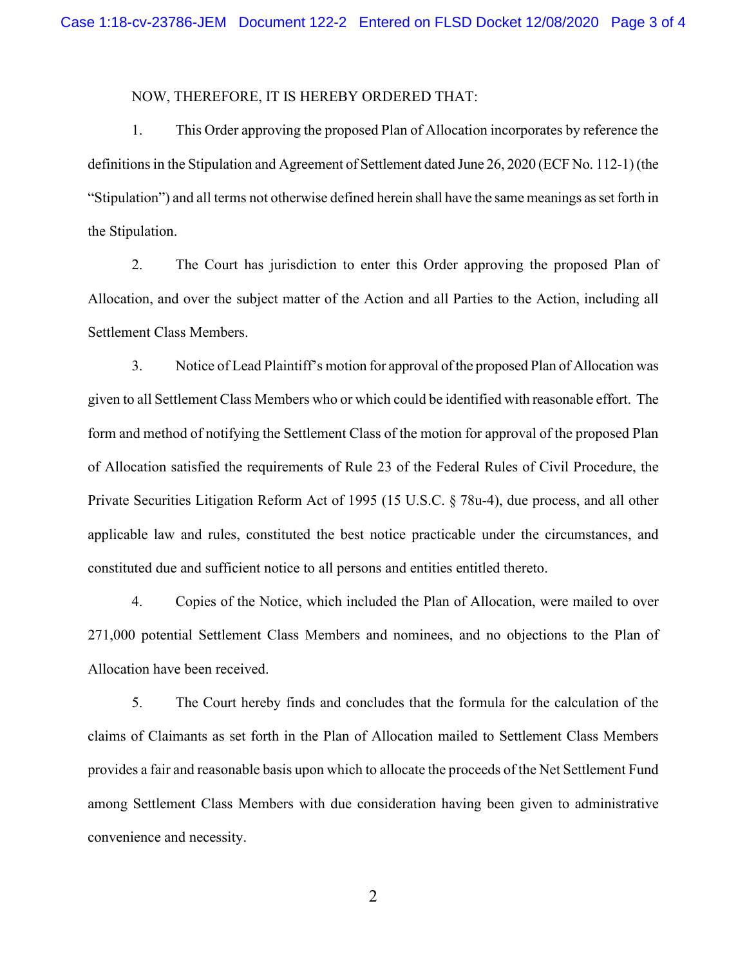#### NOW, THEREFORE, IT IS HEREBY ORDERED THAT:

1. This Order approving the proposed Plan of Allocation incorporates by reference the definitions in the Stipulation and Agreement of Settlement dated June 26, 2020 (ECF No. 112-1) (the "Stipulation") and all terms not otherwise defined herein shall have the same meanings as set forth in the Stipulation.

2. The Court has jurisdiction to enter this Order approving the proposed Plan of Allocation, and over the subject matter of the Action and all Parties to the Action, including all Settlement Class Members.

3. Notice of Lead Plaintiff's motion for approval of the proposed Plan of Allocation was given to all Settlement Class Members who or which could be identified with reasonable effort. The form and method of notifying the Settlement Class of the motion for approval of the proposed Plan of Allocation satisfied the requirements of Rule 23 of the Federal Rules of Civil Procedure, the Private Securities Litigation Reform Act of 1995 (15 U.S.C. § 78u-4), due process, and all other applicable law and rules, constituted the best notice practicable under the circumstances, and constituted due and sufficient notice to all persons and entities entitled thereto.

4. Copies of the Notice, which included the Plan of Allocation, were mailed to over 271,000 potential Settlement Class Members and nominees, and no objections to the Plan of Allocation have been received.

5. The Court hereby finds and concludes that the formula for the calculation of the claims of Claimants as set forth in the Plan of Allocation mailed to Settlement Class Members provides a fair and reasonable basis upon which to allocate the proceeds of the Net Settlement Fund among Settlement Class Members with due consideration having been given to administrative convenience and necessity.

2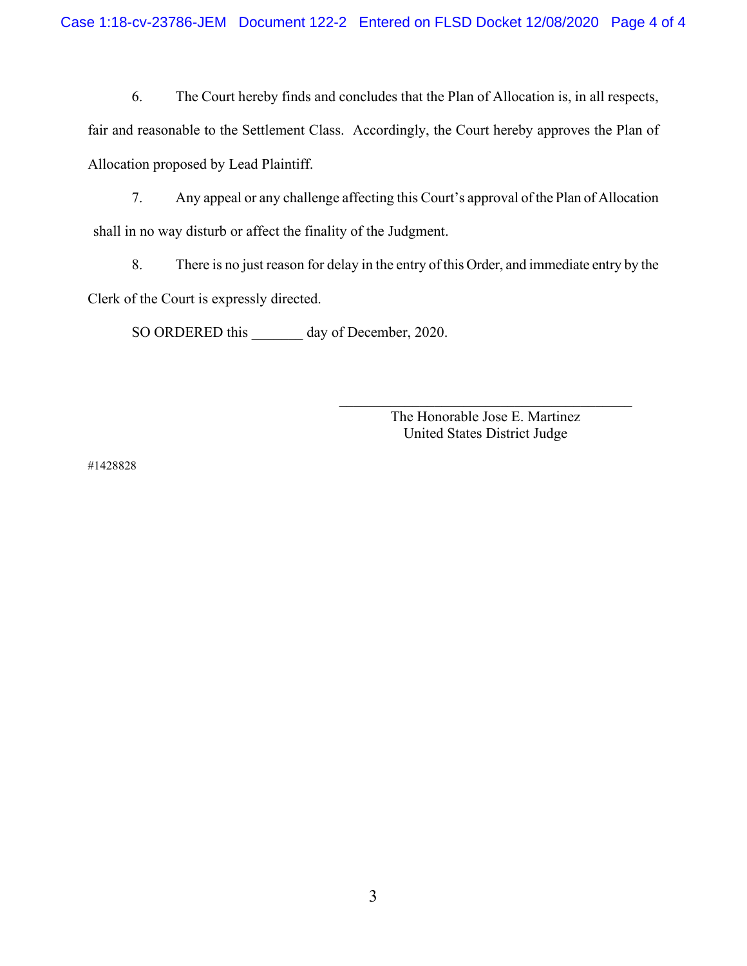6. The Court hereby finds and concludes that the Plan of Allocation is, in all respects,

fair and reasonable to the Settlement Class. Accordingly, the Court hereby approves the Plan of Allocation proposed by Lead Plaintiff.

7. Any appeal or any challenge affecting this Court's approval of the Plan of Allocation shall in no way disturb or affect the finality of the Judgment.

8. There is no just reason for delay in the entry of this Order, and immediate entry by the Clerk of the Court is expressly directed.

SO ORDERED this \_\_\_\_\_\_\_ day of December, 2020.

The Honorable Jose E. Martinez United States District Judge

#1428828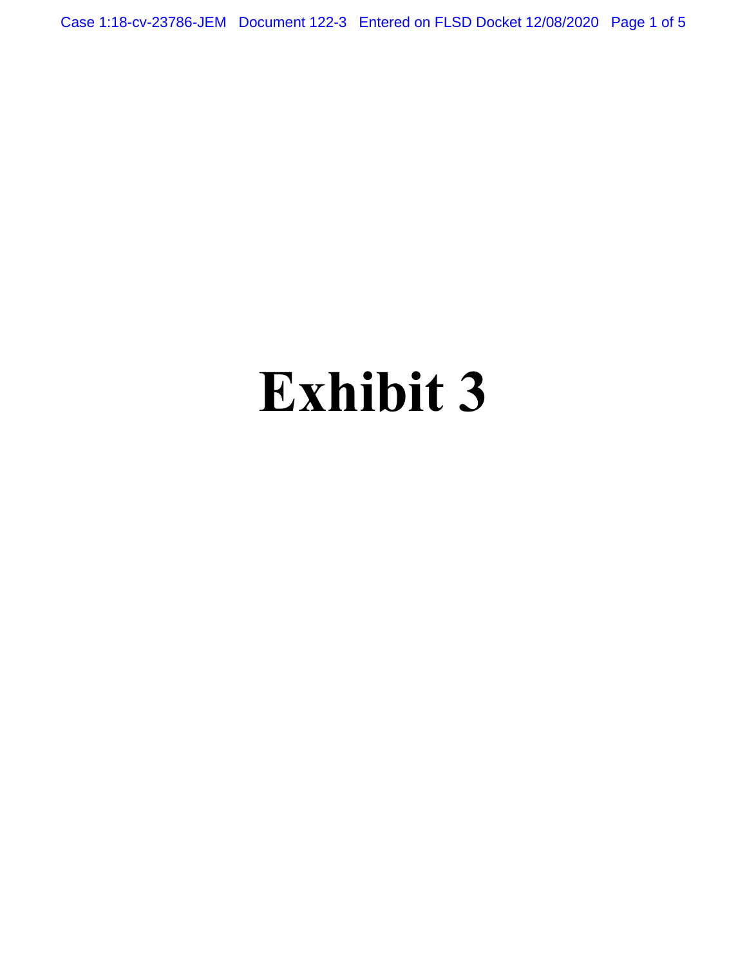Case 1:18-cv-23786-JEM Document 122-3 Entered on FLSD Docket 12/08/2020 Page 1 of 5

# **Exhibit 3**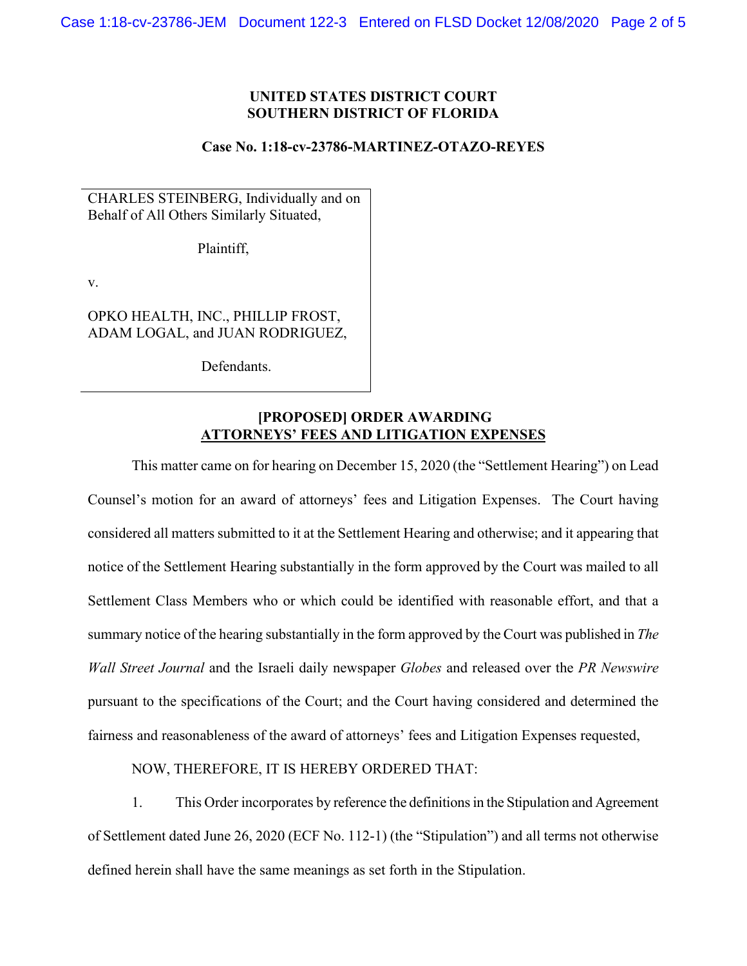#### **UNITED STATES DISTRICT COURT SOUTHERN DISTRICT OF FLORIDA**

#### **Case No. 1:18-cv-23786-MARTINEZ-OTAZO-REYES**

CHARLES STEINBERG, Individually and on Behalf of All Others Similarly Situated,

Plaintiff,

v.

OPKO HEALTH, INC., PHILLIP FROST, ADAM LOGAL, and JUAN RODRIGUEZ,

Defendants.

### **[PROPOSED] ORDER AWARDING ATTORNEYS' FEES AND LITIGATION EXPENSES**

This matter came on for hearing on December 15, 2020 (the "Settlement Hearing") on Lead Counsel's motion for an award of attorneys' fees and Litigation Expenses. The Court having considered all matters submitted to it at the Settlement Hearing and otherwise; and it appearing that notice of the Settlement Hearing substantially in the form approved by the Court was mailed to all Settlement Class Members who or which could be identified with reasonable effort, and that a summary notice of the hearing substantially in the form approved by the Court was published in *The Wall Street Journal* and the Israeli daily newspaper *Globes* and released over the *PR Newswire* pursuant to the specifications of the Court; and the Court having considered and determined the fairness and reasonableness of the award of attorneys' fees and Litigation Expenses requested,

NOW, THEREFORE, IT IS HEREBY ORDERED THAT:

1. This Order incorporates by reference the definitions in the Stipulation and Agreement of Settlement dated June 26, 2020 (ECF No. 112-1) (the "Stipulation") and all terms not otherwise defined herein shall have the same meanings as set forth in the Stipulation.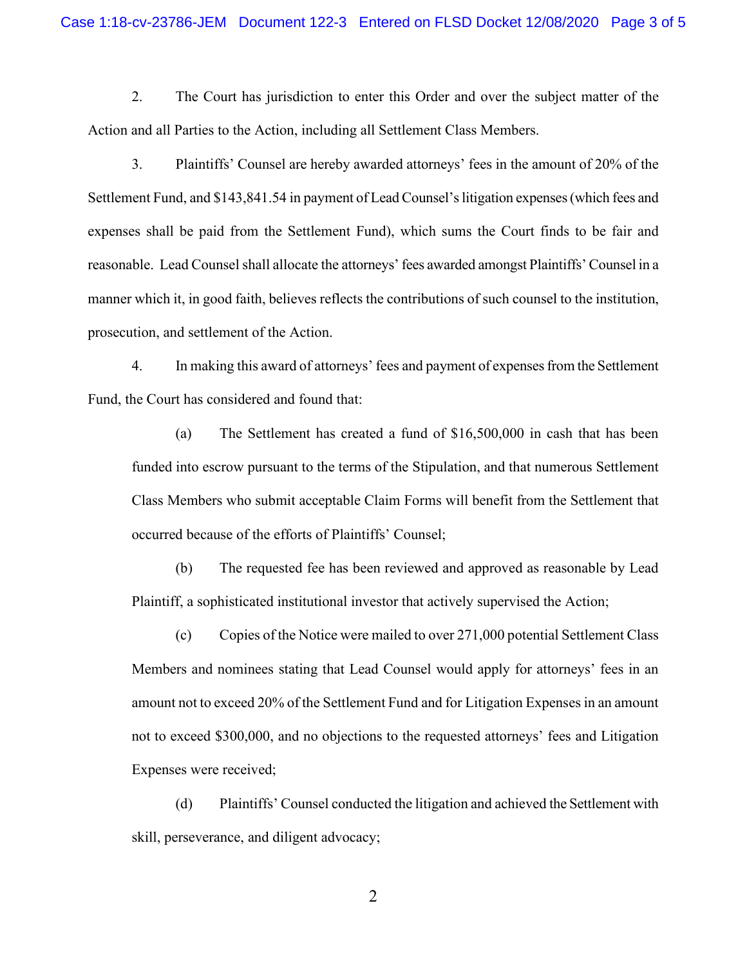2. The Court has jurisdiction to enter this Order and over the subject matter of the Action and all Parties to the Action, including all Settlement Class Members.

3. Plaintiffs' Counsel are hereby awarded attorneys' fees in the amount of 20% of the Settlement Fund, and \$143,841.54 in payment of Lead Counsel's litigation expenses (which fees and expenses shall be paid from the Settlement Fund), which sums the Court finds to be fair and reasonable. Lead Counsel shall allocate the attorneys' fees awarded amongst Plaintiffs' Counsel in a manner which it, in good faith, believes reflects the contributions of such counsel to the institution, prosecution, and settlement of the Action.

4. In making this award of attorneys' fees and payment of expenses from the Settlement Fund, the Court has considered and found that:

(a) The Settlement has created a fund of \$16,500,000 in cash that has been funded into escrow pursuant to the terms of the Stipulation, and that numerous Settlement Class Members who submit acceptable Claim Forms will benefit from the Settlement that occurred because of the efforts of Plaintiffs' Counsel;

(b) The requested fee has been reviewed and approved as reasonable by Lead Plaintiff, a sophisticated institutional investor that actively supervised the Action;

(c) Copies of the Notice were mailed to over 271,000 potential Settlement Class Members and nominees stating that Lead Counsel would apply for attorneys' fees in an amount not to exceed 20% of the Settlement Fund and for Litigation Expenses in an amount not to exceed \$300,000, and no objections to the requested attorneys' fees and Litigation Expenses were received;

(d) Plaintiffs' Counsel conducted the litigation and achieved the Settlement with skill, perseverance, and diligent advocacy;

2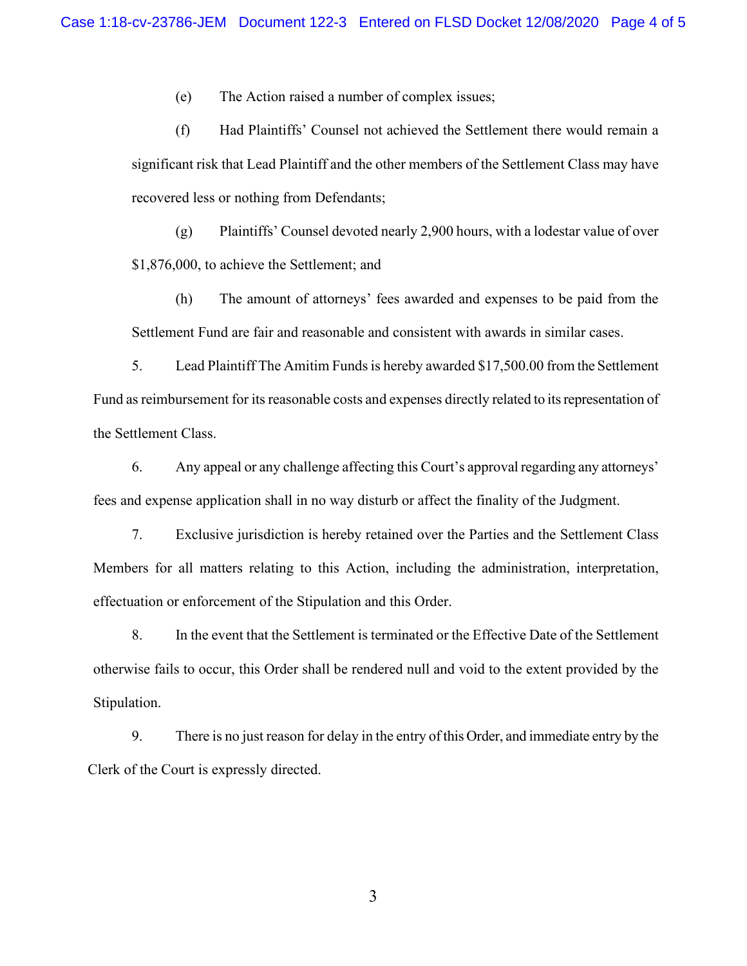(e) The Action raised a number of complex issues;

(f) Had Plaintiffs' Counsel not achieved the Settlement there would remain a significant risk that Lead Plaintiff and the other members of the Settlement Class may have recovered less or nothing from Defendants;

(g) Plaintiffs' Counsel devoted nearly 2,900 hours, with a lodestar value of over \$1,876,000, to achieve the Settlement; and

(h) The amount of attorneys' fees awarded and expenses to be paid from the Settlement Fund are fair and reasonable and consistent with awards in similar cases.

5. Lead Plaintiff The Amitim Funds is hereby awarded \$17,500.00 from the Settlement Fund as reimbursement for its reasonable costs and expenses directly related to its representation of the Settlement Class.

6. Any appeal or any challenge affecting this Court's approval regarding any attorneys' fees and expense application shall in no way disturb or affect the finality of the Judgment.

7. Exclusive jurisdiction is hereby retained over the Parties and the Settlement Class Members for all matters relating to this Action, including the administration, interpretation, effectuation or enforcement of the Stipulation and this Order.

8. In the event that the Settlement is terminated or the Effective Date of the Settlement otherwise fails to occur, this Order shall be rendered null and void to the extent provided by the Stipulation.

9. There is no just reason for delay in the entry of this Order, and immediate entry by the Clerk of the Court is expressly directed.

3